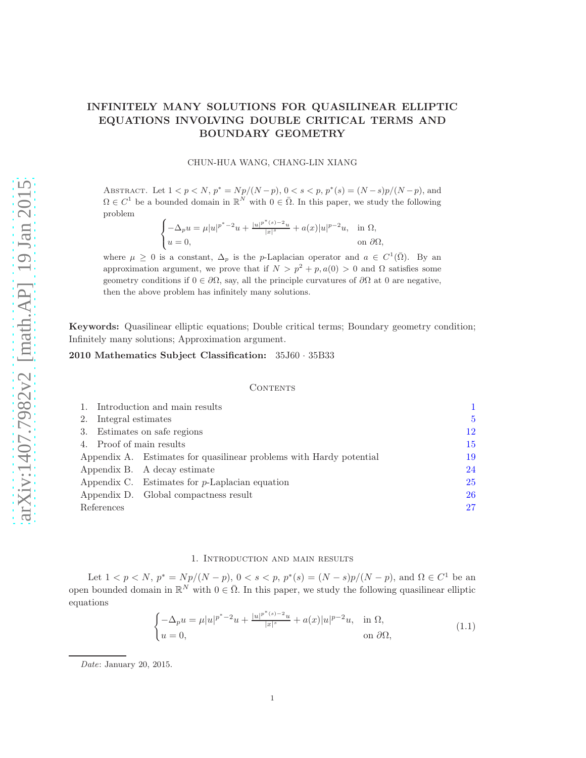# INFINITELY MANY SOLUTIONS FOR QUASILINEAR ELLIPTIC EQUATIONS INVOLVING DOUBLE CRITICAL TERMS AND BOUNDARY GEOMETRY

### CHUN-HUA WANG, CHANG-LIN XIANG

ABSTRACT. Let  $1 < p < N$ ,  $p^* = Np/(N-p)$ ,  $0 < s < p$ ,  $p^*(s) = (N-s)p/(N-p)$ , and  $\Omega \in C^1$  be a bounded domain in  $\mathbb{R}^N$  with  $0 \in \overline{\Omega}$ . In this paper, we study the following problem

$$
\begin{cases}\n-\Delta_p u = \mu |u|^{p^*-2}u + \frac{|u|^{p^*(s)-2}u}{|x|^s} + a(x)|u|^{p-2}u, & \text{in } \Omega, \\
u = 0, & \text{on } \partial\Omega,\n\end{cases}
$$

where  $\mu \geq 0$  is a constant,  $\Delta_p$  is the p-Laplacian operator and  $a \in C^1(\overline{\Omega})$ . By an approximation argument, we prove that if  $N > p^2 + p$ ,  $a(0) > 0$  and  $\Omega$  satisfies some geometry conditions if  $0 \in \partial \Omega$ , say, all the principle curvatures of  $\partial \Omega$  at 0 are negative, then the above problem has infinitely many solutions.

Keywords: Quasilinear elliptic equations; Double critical terms; Boundary geometry condition; Infinitely many solutions; Approximation argument.

### 2010 Mathematics Subject Classification: 35J60 · 35B33

#### CONTENTS

| 1. Introduction and main results |                                                                     |    |
|----------------------------------|---------------------------------------------------------------------|----|
| 2. Integral estimates            |                                                                     | 5  |
| 3. Estimates on safe regions     |                                                                     | 12 |
| 4. Proof of main results         |                                                                     | 15 |
|                                  | Appendix A. Estimates for quasilinear problems with Hardy potential | 19 |
|                                  | Appendix B. A decay estimate                                        | 24 |
|                                  | Appendix C. Estimates for $p$ -Laplacian equation                   | 25 |
|                                  | Appendix D. Global compactness result                               | 26 |
| References                       |                                                                     | 27 |

# 1. Introduction and main results

<span id="page-0-0"></span>Let  $1 < p < N$ ,  $p^* = Np/(N-p)$ ,  $0 < s < p$ ,  $p^*(s) = (N-s)p/(N-p)$ , and  $\Omega \in C^1$  be an open bounded domain in  $\mathbb{R}^N$  with  $0 \in \overline{\Omega}$ . In this paper, we study the following quasilinear elliptic equations

<span id="page-0-1"></span>
$$
\begin{cases}\n-\Delta_p u = \mu |u|^{p^*-2} u + \frac{|u|^{p^*(s)-2} u}{|x|^s} + a(x)|u|^{p-2} u, & \text{in } \Omega, \\
u = 0, & \text{on } \partial\Omega,\n\end{cases}
$$
\n(1.1)

Date: January 20, 2015.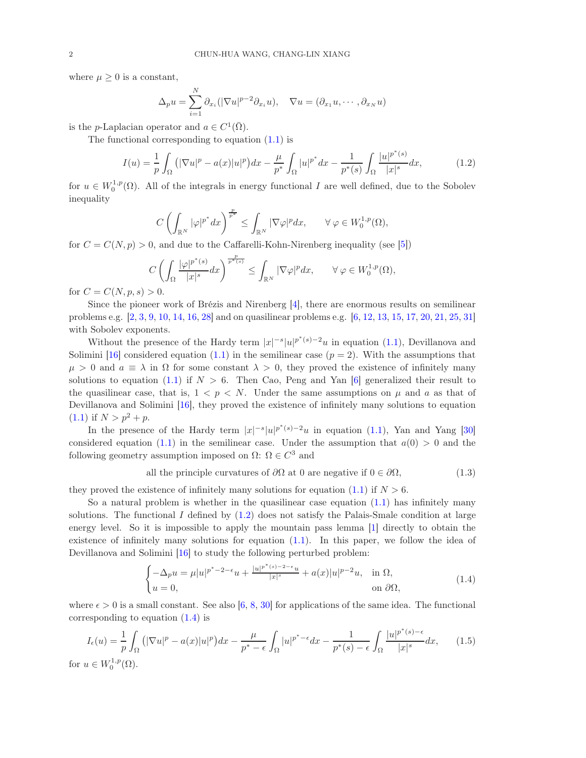where  $\mu \geq 0$  is a constant,

$$
\Delta_p u = \sum_{i=1}^N \partial_{x_i} (|\nabla u|^{p-2} \partial_{x_i} u), \quad \nabla u = (\partial_{x_1} u, \cdots, \partial_{x_N} u)
$$

is the *p*-Laplacian operator and  $a \in C^1(\overline{\Omega})$ .

The functional corresponding to equation [\(1.1\)](#page-0-1) is

<span id="page-1-0"></span>
$$
I(u) = \frac{1}{p} \int_{\Omega} \left( |\nabla u|^p - a(x)|u|^p \right) dx - \frac{\mu}{p^*} \int_{\Omega} |u|^{p^*} dx - \frac{1}{p^*(s)} \int_{\Omega} \frac{|u|^{p^*(s)}}{|x|^s} dx, \tag{1.2}
$$

for  $u \in W_0^{1,p}(\Omega)$ . All of the integrals in energy functional I are well defined, due to the Sobolev inequality

$$
C\left(\int_{\mathbb{R}^N}|\varphi|^{p^*}dx\right)^{\frac{p}{p^*}}\leq \int_{\mathbb{R}^N}|\nabla\varphi|^pdx,\qquad \forall\,\varphi\in W^{1,p}_0(\Omega),
$$

for  $C = C(N, p) > 0$ , and due to the Caffarelli-Kohn-Nirenberg inequality (see [\[5\]](#page-26-1))

$$
C\left(\int_{\Omega}\frac{|\varphi|^{p^*(s)}}{|x|^s}dx\right)^{\frac{p}{p^*(s)}} \leq \int_{\mathbb{R}^N}|\nabla \varphi|^pdx, \qquad \forall \varphi \in W_0^{1,p}(\Omega),
$$

for  $C = C(N, p, s) > 0$ .

Since the pioneer work of Brézis and Nirenberg [\[4\]](#page-26-2), there are enormous results on semilinear problems e.g. [\[2,](#page-26-3) [3,](#page-26-4) [9,](#page-26-5) [10,](#page-26-6) [14,](#page-26-7) [16,](#page-26-8) [28\]](#page-27-0) and on quasilinear problems e.g. [\[6,](#page-26-9) [12,](#page-26-10) [13,](#page-26-11) [15,](#page-26-12) [17,](#page-26-13) [20,](#page-26-14) [21,](#page-26-15) [25,](#page-27-1) [31\]](#page-27-2) with Sobolev exponents.

Without the presence of the Hardy term  $|x|^{-s}|u|^{p^*(s)-2}u$  in equation [\(1.1\)](#page-0-1), Devillanova and Solimini [\[16\]](#page-26-8) considered equation [\(1.1\)](#page-0-1) in the semilinear case  $(p = 2)$ . With the assumptions that  $\mu > 0$  and  $a \equiv \lambda$  in  $\Omega$  for some constant  $\lambda > 0$ , they proved the existence of infinitely many solutions to equation [\(1.1\)](#page-0-1) if  $N > 6$ . Then Cao, Peng and Yan [\[6\]](#page-26-9) generalized their result to the quasilinear case, that is,  $1 < p < N$ . Under the same assumptions on  $\mu$  and  $\alpha$  as that of Devillanova and Solimini [\[16\]](#page-26-8), they proved the existence of infinitely many solutions to equation  $(1.1)$  if  $N > p^2 + p$ .

In the presence of the Hardy term  $|x|^{-s}|u|^{p^*(s)-2}u$  in equation [\(1.1\)](#page-0-1), Yan and Yang [\[30\]](#page-27-3) considered equation [\(1.1\)](#page-0-1) in the semilinear case. Under the assumption that  $a(0) > 0$  and the following geometry assumption imposed on  $\Omega$ :  $\Omega \in C^3$  and

<span id="page-1-2"></span>all the principle curvatures of 
$$
\partial\Omega
$$
 at 0 are negative if  $0 \in \partial\Omega$ ,  $(1.3)$ 

they proved the existence of infinitely many solutions for equation [\(1.1\)](#page-0-1) if  $N > 6$ .

So a natural problem is whether in the quasilinear case equation  $(1.1)$  has infinitely many solutions. The functional  $I$  defined by  $(1.2)$  does not satisfy the Palais-Smale condition at large energy level. So it is impossible to apply the mountain pass lemma [\[1\]](#page-26-16) directly to obtain the existence of infinitely many solutions for equation  $(1.1)$ . In this paper, we follow the idea of Devillanova and Solimini [\[16\]](#page-26-8) to study the following perturbed problem:

<span id="page-1-1"></span>
$$
\begin{cases}\n-\Delta_p u = \mu |u|^{p^*-2-\epsilon} u + \frac{|u|^{p^*(s)-2-\epsilon} u}{|x|^s} + a(x)|u|^{p-2}u, & \text{in } \Omega, \\
u = 0, & \text{on } \partial\Omega,\n\end{cases}
$$
\n(1.4)

where  $\epsilon > 0$  is a small constant. See also [\[6,](#page-26-9) [8,](#page-26-17) [30\]](#page-27-3) for applications of the same idea. The functional corresponding to equation  $(1.4)$  is

$$
I_{\epsilon}(u) = \frac{1}{p} \int_{\Omega} \left( |\nabla u|^p - a(x)|u|^p \right) dx - \frac{\mu}{p^* - \epsilon} \int_{\Omega} |u|^{p^* - \epsilon} dx - \frac{1}{p^*(s) - \epsilon} \int_{\Omega} \frac{|u|^{p^*(s) - \epsilon}}{|x|^s} dx, \qquad (1.5)
$$
  
for  $u \in W_0^{1,p}(\Omega)$ .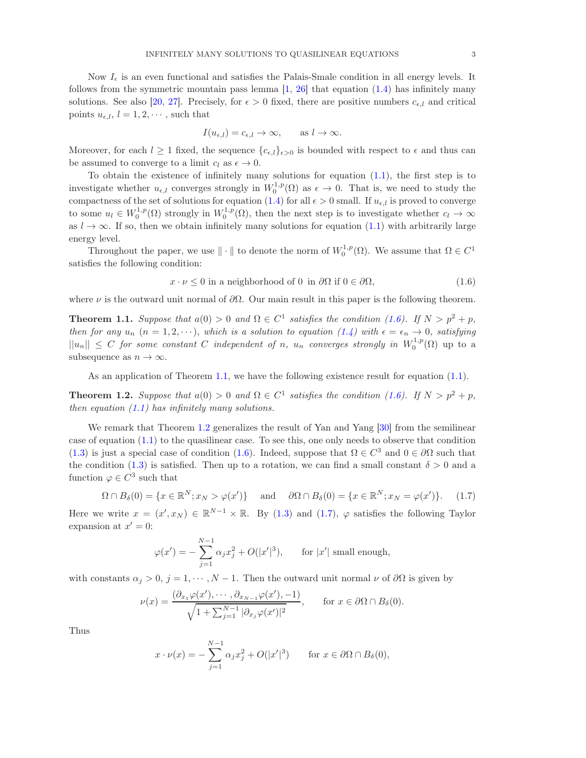Now  $I_{\epsilon}$  is an even functional and satisfies the Palais-Smale condition in all energy levels. It follows from the symmetric mountain pass lemma  $[1, 26]$  $[1, 26]$  that equation  $(1.4)$  has infinitely many solutions. See also [\[20,](#page-26-14) [27\]](#page-27-5). Precisely, for  $\epsilon > 0$  fixed, there are positive numbers  $c_{\epsilon,l}$  and critical points  $u_{\epsilon,l}$ ,  $l = 1, 2, \dots$ , such that

$$
I(u_{\epsilon,l}) = c_{\epsilon,l} \to \infty, \quad \text{as } l \to \infty.
$$

Moreover, for each  $l \geq 1$  fixed, the sequence  ${c_{\epsilon,l}}_{\epsilon>0}$  is bounded with respect to  $\epsilon$  and thus can be assumed to converge to a limit  $c_l$  as  $\epsilon \to 0$ .

To obtain the existence of infinitely many solutions for equation [\(1.1\)](#page-0-1), the first step is to investigate whether  $u_{\epsilon,l}$  converges strongly in  $W_0^{1,p}(\Omega)$  as  $\epsilon \to 0$ . That is, we need to study the compactness of the set of solutions for equation [\(1.4\)](#page-1-1) for all  $\epsilon > 0$  small. If  $u_{\epsilon,l}$  is proved to converge to some  $u_l \in W_0^{1,p}(\Omega)$  strongly in  $W_0^{1,p}(\Omega)$ , then the next step is to investigate whether  $c_l \to \infty$ as  $l \to \infty$ . If so, then we obtain infinitely many solutions for equation [\(1.1\)](#page-0-1) with arbitrarily large energy level.

Throughout the paper, we use  $\|\cdot\|$  to denote the norm of  $W_0^{1,p}(\Omega)$ . We assume that  $\Omega \in C^1$ satisfies the following condition:

<span id="page-2-0"></span>
$$
x \cdot \nu \le 0 \text{ in a neighborhood of 0 in } \partial\Omega \text{ if } 0 \in \partial\Omega,
$$
\n
$$
(1.6)
$$

where  $\nu$  is the outward unit normal of  $\partial\Omega$ . Our main result in this paper is the following theorem.

<span id="page-2-1"></span>**Theorem 1.1.** Suppose that  $a(0) > 0$  and  $\Omega \in C^1$  satisfies the condition [\(1.6\)](#page-2-0). If  $N > p^2 + p$ , then for any  $u_n$   $(n = 1, 2, \dots)$ , which is a solution to equation  $(1.4)$  with  $\epsilon = \epsilon_n \to 0$ , satisfying  $||u_n|| \leq C$  for some constant C independent of n,  $u_n$  converges strongly in  $W_0^{1,p}(\Omega)$  up to a subsequence as  $n \to \infty$ .

As an application of Theorem [1.1,](#page-2-1) we have the following existence result for equation  $(1.1)$ .

<span id="page-2-2"></span>**Theorem 1.2.** Suppose that  $a(0) > 0$  and  $\Omega \in C^1$  satisfies the condition [\(1.6\)](#page-2-0). If  $N > p^2 + p$ , then equation  $(1.1)$  has infinitely many solutions.

We remark that Theorem [1.2](#page-2-2) generalizes the result of Yan and Yang [\[30\]](#page-27-3) from the semilinear case of equation [\(1.1\)](#page-0-1) to the quasilinear case. To see this, one only needs to observe that condition [\(1.3\)](#page-1-2) is just a special case of condition [\(1.6\)](#page-2-0). Indeed, suppose that  $\Omega \in C^3$  and  $0 \in \partial \Omega$  such that the condition [\(1.3\)](#page-1-2) is satisfied. Then up to a rotation, we can find a small constant  $\delta > 0$  and a function  $\varphi \in C^3$  such that

<span id="page-2-3"></span>
$$
\Omega \cap B_{\delta}(0) = \{x \in \mathbb{R}^N; x_N > \varphi(x')\} \quad \text{and} \quad \partial\Omega \cap B_{\delta}(0) = \{x \in \mathbb{R}^N; x_N = \varphi(x')\}. \tag{1.7}
$$

Here we write  $x = (x', x_N) \in \mathbb{R}^{N-1} \times \mathbb{R}$ . By [\(1.3\)](#page-1-2) and [\(1.7\)](#page-2-3),  $\varphi$  satisfies the following Taylor expansion at  $x'=0$ :

$$
\varphi(x') = -\sum_{j=1}^{N-1} \alpha_j x_j^2 + O(|x'|^3)
$$
, for |x'| small enough,

with constants  $\alpha_j > 0$ ,  $j = 1, \dots, N - 1$ . Then the outward unit normal  $\nu$  of  $\partial\Omega$  is given by

$$
\nu(x) = \frac{(\partial_{x_1}\varphi(x'), \cdots, \partial_{x_{N-1}}\varphi(x'), -1)}{\sqrt{1 + \sum_{j=1}^{N-1} |\partial_{x_j}\varphi(x')|^2}}, \quad \text{for } x \in \partial\Omega \cap B_\delta(0).
$$

Thus

$$
x \cdot \nu(x) = -\sum_{j=1}^{N-1} \alpha_j x_j^2 + O(|x'|^3) \quad \text{for } x \in \partial\Omega \cap B_\delta(0),
$$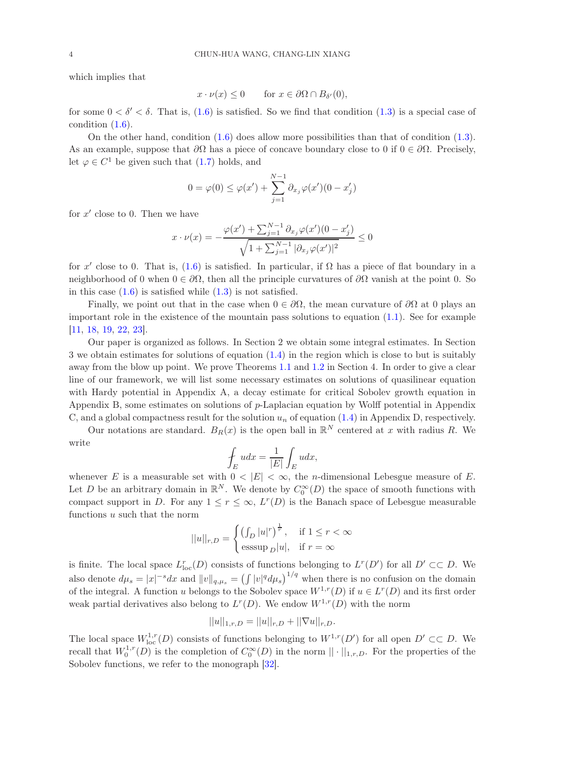which implies that

$$
x \cdot \nu(x) \le 0 \qquad \text{for } x \in \partial \Omega \cap B_{\delta'}(0),
$$

for some  $0 < \delta' < \delta$ . That is, [\(1.6\)](#page-2-0) is satisfied. So we find that condition [\(1.3\)](#page-1-2) is a special case of condition [\(1.6\)](#page-2-0).

On the other hand, condition [\(1.6\)](#page-2-0) does allow more possibilities than that of condition [\(1.3\)](#page-1-2). As an example, suppose that  $\partial\Omega$  has a piece of concave boundary close to 0 if  $0 \in \partial\Omega$ . Precisely, let  $\varphi \in C^1$  be given such that  $(1.7)$  holds, and

$$
0 = \varphi(0) \le \varphi(x') + \sum_{j=1}^{N-1} \partial_{x_j} \varphi(x') (0 - x'_j)
$$

for  $x'$  close to 0. Then we have

$$
x \cdot \nu(x) = -\frac{\varphi(x') + \sum_{j=1}^{N-1} \partial_{x_j} \varphi(x') (0 - x'_j)}{\sqrt{1 + \sum_{j=1}^{N-1} |\partial_{x_j} \varphi(x')|^2}} \le 0
$$

for x' close to 0. That is,  $(1.6)$  is satisfied. In particular, if  $\Omega$  has a piece of flat boundary in a neighborhood of 0 when  $0 \in \partial\Omega$ , then all the principle curvatures of  $\partial\Omega$  vanish at the point 0. So in this case  $(1.6)$  is satisfied while  $(1.3)$  is not satisfied.

Finally, we point out that in the case when  $0 \in \partial \Omega$ , the mean curvature of  $\partial \Omega$  at 0 plays an important role in the existence of the mountain pass solutions to equation  $(1.1)$ . See for example [\[11,](#page-26-18) [18,](#page-26-19) [19,](#page-26-20) [22,](#page-26-21) [23\]](#page-26-22).

Our paper is organized as follows. In Section 2 we obtain some integral estimates. In Section 3 we obtain estimates for solutions of equation [\(1.4\)](#page-1-1) in the region which is close to but is suitably away from the blow up point. We prove Theorems [1.1](#page-2-1) and [1.2](#page-2-2) in Section 4. In order to give a clear line of our framework, we will list some necessary estimates on solutions of quasilinear equation with Hardy potential in Appendix A, a decay estimate for critical Sobolev growth equation in Appendix B, some estimates on solutions of p-Laplacian equation by Wolff potential in Appendix C, and a global compactness result for the solution  $u_n$  of equation [\(1.4\)](#page-1-1) in Appendix D, respectively.

Our notations are standard.  $B_R(x)$  is the open ball in  $\mathbb{R}^N$  centered at x with radius R. We write

$$
\oint_{E} u dx = \frac{1}{|E|} \int_{E} u dx,
$$

whenever E is a measurable set with  $0 < |E| < \infty$ , the *n*-dimensional Lebesgue measure of E. Let D be an arbitrary domain in  $\mathbb{R}^N$ . We denote by  $C_0^{\infty}(D)$  the space of smooth functions with compact support in D. For any  $1 \leq r \leq \infty$ ,  $L^r(D)$  is the Banach space of Lebesgue measurable functions u such that the norm

$$
||u||_{r,D} = \begin{cases} \left(\int_D |u|^r\right)^{\frac{1}{r}}, & \text{if } 1 \le r < \infty\\ \text{esssup }_{D} |u|, & \text{if } r = \infty \end{cases}
$$

is finite. The local space  $L_{loc}^r(D)$  consists of functions belonging to  $L^r(D')$  for all  $D' \subset\subset D$ . We also denote  $d\mu_s = |x|^{-s} dx$  and  $||v||_{q,\mu_s} = (\int |v|^q d\mu_s)^{1/q}$  when there is no confusion on the domain of the integral. A function u belongs to the Sobolev space  $W^{1,r}(D)$  if  $u \in L^r(D)$  and its first order weak partial derivatives also belong to  $L^r(D)$ . We endow  $W^{1,r}(D)$  with the norm

$$
||u||_{1,r,D} = ||u||_{r,D} + ||\nabla u||_{r,D}.
$$

The local space  $W^{1,r}_{loc}(D)$  consists of functions belonging to  $W^{1,r}(D')$  for all open  $D' \subset\subset D$ . We recall that  $W_0^{1,r}(D)$  is the completion of  $C_0^{\infty}(D)$  in the norm  $|| \cdot ||_{1,r,D}$ . For the properties of the Sobolev functions, we refer to the monograph [\[32\]](#page-27-6).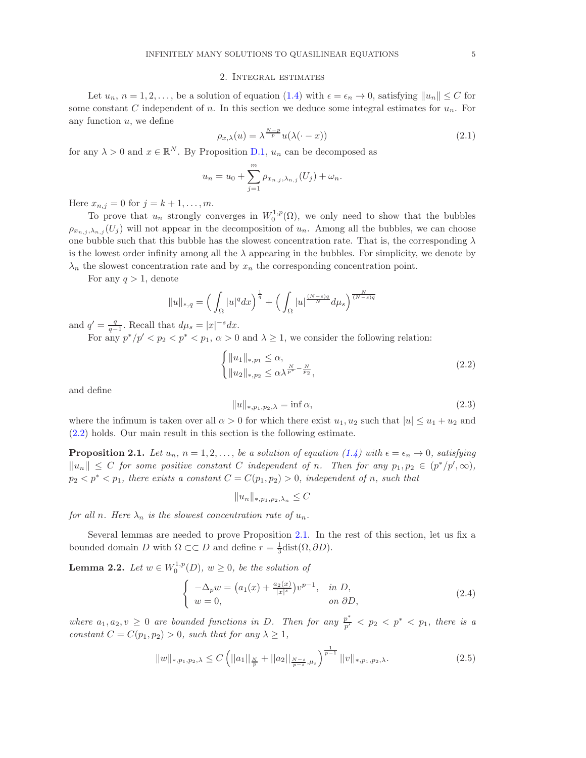#### 2. Integral estimates

<span id="page-4-0"></span>Let  $u_n, n = 1, 2, \ldots$ , be a solution of equation [\(1.4\)](#page-1-1) with  $\epsilon = \epsilon_n \to 0$ , satisfying  $||u_n|| \leq C$  for some constant C independent of n. In this section we deduce some integral estimates for  $u_n$ . For any function  $u$ , we define

<span id="page-4-7"></span>
$$
\rho_{x,\lambda}(u) = \lambda^{\frac{N-p}{p}} u(\lambda(\cdot - x)) \tag{2.1}
$$

for any  $\lambda > 0$  and  $x \in \mathbb{R}^N$ . By Proposition [D.1,](#page-25-1)  $u_n$  can be decomposed as

$$
u_n = u_0 + \sum_{j=1}^m \rho_{x_{n,j},\lambda_{n,j}}(U_j) + \omega_n.
$$

Here  $x_{n,j} = 0$  for  $j = k + 1, ..., m$ .

To prove that  $u_n$  strongly converges in  $W_0^{1,p}(\Omega)$ , we only need to show that the bubbles  $\rho_{x_{n,i},\lambda_{n,i}}(U_i)$  will not appear in the decomposition of  $u_n$ . Among all the bubbles, we can choose one bubble such that this bubble has the slowest concentration rate. That is, the corresponding  $\lambda$ is the lowest order infinity among all the  $\lambda$  appearing in the bubbles. For simplicity, we denote by  $\lambda_n$  the slowest concentration rate and by  $x_n$  the corresponding concentration point.

For any  $q > 1$ , denote

$$
||u||_{*,q} = \left(\int_{\Omega} |u|^q dx\right)^{\frac{1}{q}} + \left(\int_{\Omega} |u|^{\frac{(N-s)q}{N}} d\mu_s\right)^{\frac{N}{(N-s)q}}
$$

and  $q' = \frac{q}{q-1}$ . Recall that  $d\mu_s = |x|^{-s} dx$ .

For any  $p^*/p' < p_2 < p^* < p_1$ ,  $\alpha > 0$  and  $\lambda \ge 1$ , we consider the following relation:

<span id="page-4-1"></span>
$$
\begin{cases} \|u_1\|_{*,p_1} \le \alpha, \\ \|u_2\|_{*,p_2} \le \alpha \lambda^{\frac{N}{p^*} - \frac{N}{p_2}}, \end{cases}
$$
\n(2.2)

and define

<span id="page-4-4"></span>
$$
||u||_{*,p_1,p_2,\lambda} = \inf \alpha,\tag{2.3}
$$

where the infimum is taken over all  $\alpha > 0$  for which there exist  $u_1, u_2$  such that  $|u| \leq u_1 + u_2$  and [\(2.2\)](#page-4-1) holds. Our main result in this section is the following estimate.

<span id="page-4-2"></span>**Proposition 2.1.** Let  $u_n$ ,  $n = 1, 2, \ldots$ , be a solution of equation [\(1.4\)](#page-1-1) with  $\epsilon = \epsilon_n \to 0$ , satisfying  $||u_n|| \leq C$  for some positive constant C independent of n. Then for any  $p_1, p_2 \in (p^*/p', \infty)$ ,  $p_2 < p^* < p_1$ , there exists a constant  $C = C(p_1, p_2) > 0$ , independent of n, such that

$$
||u_n||_{*,p_1,p_2,\lambda_n} \leq C
$$

for all n. Here  $\lambda_n$  is the slowest concentration rate of  $u_n$ .

Several lemmas are needed to prove Proposition [2.1.](#page-4-2) In the rest of this section, let us fix a bounded domain D with  $\Omega \subset\subset D$  and define  $r = \frac{1}{3}$ dist $(\Omega, \partial D)$ .

<span id="page-4-6"></span>**Lemma 2.2.** Let  $w \in W_0^{1,p}(D)$ ,  $w \ge 0$ , be the solution of

<span id="page-4-3"></span>
$$
\begin{cases}\n-\Delta_p w = \left(a_1(x) + \frac{a_2(x)}{|x|^s}\right)v^{p-1}, & \text{in } D, \\
w = 0, & \text{on } \partial D,\n\end{cases}
$$
\n(2.4)

where  $a_1, a_2, v \geq 0$  are bounded functions in D. Then for any  $\frac{p^*}{p'} < p_2 < p^* < p_1$ , there is a constant  $C = C(p_1, p_2) > 0$ , such that for any  $\lambda \geq 1$ ,

<span id="page-4-5"></span>
$$
||w||_{*,p_1,p_2,\lambda} \leq C \left( ||a_1||_{\frac{N}{p}} + ||a_2||_{\frac{N-s}{p-s},\mu_s} \right)^{\frac{1}{p-1}} ||v||_{*,p_1,p_2,\lambda}.
$$
 (2.5)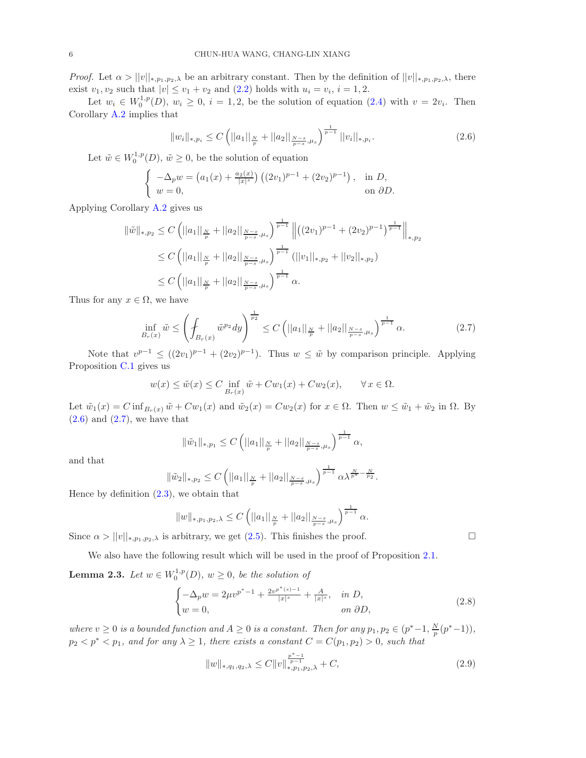*Proof.* Let  $\alpha > ||v||_{*,p_1,p_2,\lambda}$  be an arbitrary constant. Then by the definition of  $||v||_{*,p_1,p_2,\lambda}$ , there exist  $v_1, v_2$  such that  $|v| \le v_1 + v_2$  and  $(2.2)$  holds with  $u_i = v_i$ ,  $i = 1, 2$ .

Let  $w_i \in W_0^{1,p}(D)$ ,  $w_i \geq 0$ ,  $i = 1, 2$ , be the solution of equation  $(2.4)$  with  $v = 2v_i$ . Then Corollary [A.2](#page-19-0) implies that

<span id="page-5-0"></span>
$$
||w_i||_{*,p_i} \le C \left( ||a_1||_{\frac{N}{p}} + ||a_2||_{\frac{N-s}{p-s},\mu_s} \right)^{\frac{1}{p-1}} ||v_i||_{*,p_i}.
$$
\n(2.6)

Let  $\tilde{w} \in W_0^{1,p}(D)$ ,  $\tilde{w} \ge 0$ , be the solution of equation

$$
\begin{cases}\n-\Delta_p w = (a_1(x) + \frac{a_2(x)}{|x|^s}) ((2v_1)^{p-1} + (2v_2)^{p-1}), & \text{in } D, \\
w = 0, & \text{on } \partial D.\n\end{cases}
$$

Applying Corollary [A.2](#page-19-0) gives us

$$
\|\tilde{w}\|_{*,p_2} \le C \left( ||a_1||_{\frac{N}{p}} + ||a_2||_{\frac{N-s}{p-s},\mu_s} \right)^{\frac{1}{p-1}} \left\| \left( (2v_1)^{p-1} + (2v_2)^{p-1} \right)^{\frac{1}{p-1}} \right\|_{*,p_2}
$$
  

$$
\le C \left( ||a_1||_{\frac{N}{p}} + ||a_2||_{\frac{N-s}{p-s},\mu_s} \right)^{\frac{1}{p-1}} \left( ||v_1||_{*,p_2} + ||v_2||_{*,p_2} \right)
$$
  

$$
\le C \left( ||a_1||_{\frac{N}{p}} + ||a_2||_{\frac{N-s}{p-s},\mu_s} \right)^{\frac{1}{p-1}} \alpha.
$$

Thus for any  $x \in \Omega$ , we have

<span id="page-5-1"></span>
$$
\inf_{B_r(x)} \tilde{w} \le \left( \int_{B_r(x)} \tilde{w}^{p_2} dy \right)^{\frac{1}{p_2}} \le C \left( ||a_1||_{\frac{N}{p}} + ||a_2||_{\frac{N-s}{p-s}, \mu_s} \right)^{\frac{1}{p-1}} \alpha. \tag{2.7}
$$

Note that  $v^{p-1} \leq ((2v_1)^{p-1} + (2v_2)^{p-1})$ . Thus  $w \leq \tilde{w}$  by comparison principle. Applying Proposition [C.1](#page-24-1) gives us

$$
w(x) \le \tilde{w}(x) \le C \inf_{B_r(x)} \tilde{w} + Cw_1(x) + Cw_2(x), \qquad \forall x \in \Omega.
$$

Let  $\tilde{w}_1(x) = C \inf_{B_r(x)} \tilde{w} + C w_1(x)$  and  $\tilde{w}_2(x) = C w_2(x)$  for  $x \in \Omega$ . Then  $w \leq \tilde{w}_1 + \tilde{w}_2$  in  $\Omega$ . By  $(2.6)$  and  $(2.7)$ , we have that

$$
\|\tilde{w}_1\|_{*,p_1} \leq C \left( ||a_1||_{\frac{N}{p}} + ||a_2||_{\frac{N-s}{p-s},\mu_s} \right)^{\frac{1}{p-1}} \alpha,
$$

and that

$$
\|\tilde{w}_2\|_{*,p_2} \leq C \left( ||a_1||_{\frac{N}{p}} + ||a_2||_{\frac{N-s}{p-s},\mu_s} \right)^{\frac{1}{p-1}} \alpha \lambda^{\frac{N}{p^*} - \frac{N}{p_2}}.
$$

Hence by definition [\(2.3\)](#page-4-4), we obtain that

$$
||w||_{*,p_1,p_2,\lambda} \leq C \left( ||a_1||_{\frac{N}{p}} + ||a_2||_{\frac{N-s}{p-s},\mu_s} \right)^{\frac{1}{p-1}} \alpha.
$$

Since  $\alpha > ||v||_{*,p_1,p_2,\lambda}$  is arbitrary, we get [\(2.5\)](#page-4-5). This finishes the proof.

We also have the following result which will be used in the proof of Proposition [2.1.](#page-4-2)

<span id="page-5-3"></span>**Lemma 2.3.** Let  $w \in W_0^{1,p}(D)$ ,  $w \ge 0$ , be the solution of

<span id="page-5-2"></span>
$$
\begin{cases}\n-\Delta_p w = 2\mu v^{p^* - 1} + \frac{2v^{p^*(s) - 1}}{|x|^s} + \frac{A}{|x|^s}, & \text{in } D, \\
w = 0, & \text{on } \partial D,\n\end{cases}
$$
\n(2.8)

where  $v \ge 0$  is a bounded function and  $A \ge 0$  is a constant. Then for any  $p_1, p_2 \in (p^* - 1, \frac{N}{p}(p^* - 1)),$  $p_2 < p^* < p_1$ , and for any  $\lambda \geq 1$ , there exists a constant  $C = C(p_1, p_2) > 0$ , such that

$$
||w||_{*,q_1,q_2,\lambda} \le C ||v||_{*,p_1,p_2,\lambda}^{\frac{p^*-1}{p-1}} + C,
$$
\n(2.9)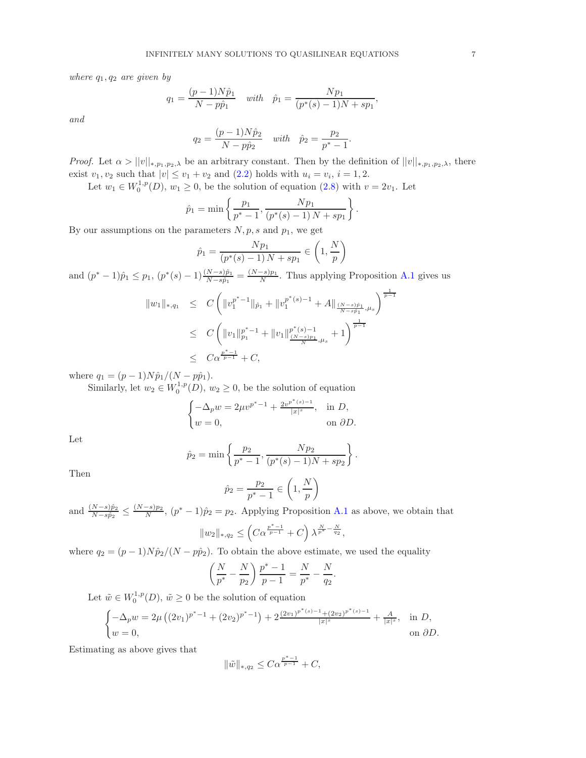where  $q_1, q_2$  are given by

$$
q_1 = \frac{(p-1)N\hat{p}_1}{N - p\hat{p}_1} \quad with \quad \hat{p}_1 = \frac{Np_1}{(p^*(s) - 1)N + sp_1},
$$

and

$$
q_2 = \frac{(p-1)N\hat{p}_2}{N - p\hat{p}_2} \quad with \quad \hat{p}_2 = \frac{p_2}{p^* - 1}.
$$

*Proof.* Let  $\alpha > ||v||_{*,p_1,p_2,\lambda}$  be an arbitrary constant. Then by the definition of  $||v||_{*,p_1,p_2,\lambda}$ , there exist  $v_1, v_2$  such that  $|v| \le v_1 + v_2$  and  $(2.2)$  holds with  $u_i = v_i$ ,  $i = 1, 2$ .

Let  $w_1 \in W_0^{1,p}(D)$ ,  $w_1 \ge 0$ , be the solution of equation [\(2.8\)](#page-5-2) with  $v = 2v_1$ . Let

$$
\hat{p}_1 = \min \left\{ \frac{p_1}{p^* - 1}, \frac{Np_1}{(p^*(s) - 1)N + sp_1} \right\}.
$$

By our assumptions on the parameters  $N, p, s$  and  $p_1$ , we get

$$
\hat{p}_1 = \frac{Np_1}{(p^*(s) - 1)N + sp_1} \in \left(1, \frac{N}{p}\right)
$$

and  $(p^* - 1)\hat{p}_1 \leq p_1$ ,  $(p^*(s) - 1)\frac{(N-s)\hat{p}_1}{N-s\hat{p}_1} = \frac{(N-s)p_1}{N}$ . Thus applying Proposition [A.1](#page-18-1) gives us

$$
||w_1||_{*,q_1} \leq C \left( ||v_1^{p^{*}-1}||_{\hat{p}_1} + ||v_1^{p^{*}(s)-1} + A||_{\frac{(N-s)\hat{p}_1}{N-s\hat{p}_1},\mu_s} \right)^{\frac{1}{p-1}}
$$
  

$$
\leq C \left( ||v_1||_{p_1}^{p^{*}-1} + ||v_1||_{\frac{(N-s)p_1}{N},\mu_s}^{p^{*}(s)-1} + 1 \right)^{\frac{1}{p-1}}
$$
  

$$
\leq C\alpha^{\frac{p^{*}-1}{p-1}} + C,
$$

where  $q_1 = (p-1)N\hat{p}_1/(N - p\hat{p}_1)$ .

Similarly, let  $w_2 \in W_0^{1,p}(D)$ ,  $w_2 \ge 0$ , be the solution of equation

$$
\begin{cases}\n-\Delta_p w = 2\mu v^{p^*-1} + \frac{2v^{p^*(s)-1}}{|x|^s}, & \text{in } D, \\
w = 0, & \text{on } \partial D.\n\end{cases}
$$

Let

$$
\hat{p}_2 = \min\left\{\frac{p_2}{p^*-1}, \frac{Np_2}{(p^*(s)-1)N + sp_2}\right\}.
$$

Then

$$
\hat{p}_2 = \frac{p_2}{p^* - 1} \in \left(1, \frac{N}{p}\right)
$$

and  $\frac{(N-s)\hat{p}_2}{N-s\hat{p}_2} \le \frac{(N-s)p_2}{N}$ ,  $(p^*-1)\hat{p}_2 = p_2$ . Applying Proposition [A.1](#page-18-1) as above, we obtain that  $||w_2||_{*,q_2} \leq \left(C\alpha^{\frac{p^*-1}{p-1}} + C\right)\lambda^{\frac{N}{p^*}-\frac{N}{q_2}},$ 

where 
$$
q_2 = (p-1)N\hat{p}_2/(N-p\hat{p}_2)
$$
. To obtain the above estimate, we used the equality

$$
\begin{pmatrix} N & N \end{pmatrix} p^* - 1
$$
 N N

$$
\left(\frac{N}{p^*} - \frac{N}{p_2}\right) \frac{p^* - 1}{p - 1} = \frac{N}{p^*} - \frac{N}{q_2}.
$$

Let  $\tilde{w} \in W_0^{1,p}(D)$ ,  $\tilde{w} \ge 0$  be the solution of equation

$$
\begin{cases}\n-\Delta_p w = 2\mu \left( (2v_1)^{p^*-1} + (2v_2)^{p^*-1} \right) + 2 \frac{(2v_1)^{p^*(s)-1} + (2v_2)^{p^*(s)-1}}{|x|^s} + \frac{A}{|x|^s}, & \text{in } D, \\
w = 0, & \text{on } \partial D.\n\end{cases}
$$

Estimating as above gives that

$$
\|\tilde{w}\|_{*,q_2} \leq C\alpha^{\frac{p^*-1}{p-1}} + C,
$$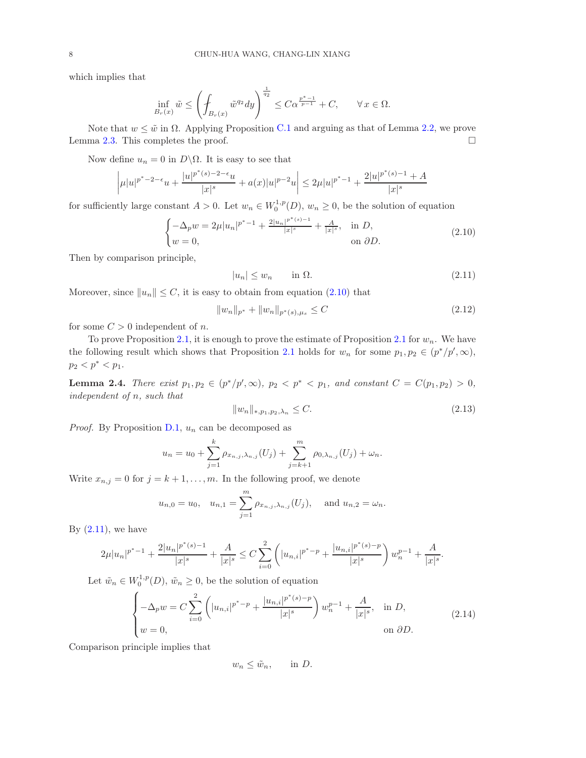which implies that

$$
\inf_{B_r(x)} \tilde{w} \le \left( \oint_{B_r(x)} \tilde{w}^{q_2} dy \right)^{\frac{1}{q_2}} \le C\alpha^{\frac{p^*-1}{p-1}} + C, \qquad \forall x \in \Omega.
$$

Note that  $w \leq \tilde{w}$  in  $\Omega$ . Applying Proposition [C.1](#page-24-1) and arguing as that of Lemma [2.2,](#page-4-6) we prove Lemma [2.3.](#page-5-3) This completes the proof.  $\square$ 

Now define  $u_n = 0$  in  $D \setminus \Omega$ . It is easy to see that

$$
\left|\mu|u|^{p^*-2-\epsilon}u + \frac{|u|^{p^*(s)-2-\epsilon}u}{|x|^s} + a(x)|u|^{p-2}u\right| \leq 2\mu|u|^{p^*-1} + \frac{2|u|^{p^*(s)-1}+A}{|x|^s}
$$

for sufficiently large constant  $A > 0$ . Let  $w_n \in W_0^{1,p}(D)$ ,  $w_n \ge 0$ , be the solution of equation

<span id="page-7-0"></span>
$$
\begin{cases}\n-\Delta_p w = 2\mu |u_n|^{p^*-1} + \frac{2|u_n|^{p^*(s)-1}}{|x|^s} + \frac{A}{|x|^s}, & \text{in } D, \\
w = 0, & \text{on } \partial D.\n\end{cases}
$$
\n(2.10)

Then by comparison principle,

<span id="page-7-1"></span>
$$
|u_n| \le w_n \qquad \text{in } \Omega. \tag{2.11}
$$

Moreover, since  $||u_n|| \leq C$ , it is easy to obtain from equation [\(2.10\)](#page-7-0) that

<span id="page-7-2"></span>
$$
||w_n||_{p^*} + ||w_n||_{p^*(s), \mu_s} \le C \tag{2.12}
$$

for some  $C > 0$  independent of n.

To prove Proposition [2.1,](#page-4-2) it is enough to prove the estimate of Proposition [2.1](#page-4-2) for  $w_n$ . We have the following result which shows that Proposition [2.1](#page-4-2) holds for  $w_n$  for some  $p_1, p_2 \in (p^*/p', \infty)$ ,  $p_2 < p^* < p_1$ .

**Lemma 2.4.** There exist  $p_1, p_2 \in (p^*/p', \infty)$ ,  $p_2 < p^* < p_1$ , and constant  $C = C(p_1, p_2) > 0$ , independent of n, such that

$$
||w_n||_{*,p_1,p_2,\lambda_n} \le C. \tag{2.13}
$$

*Proof.* By Proposition [D.1,](#page-25-1)  $u_n$  can be decomposed as

$$
u_n = u_0 + \sum_{j=1}^k \rho_{x_{n,j},\lambda_{n,j}}(U_j) + \sum_{j=k+1}^m \rho_{0,\lambda_{n,j}}(U_j) + \omega_n.
$$

Write  $x_{n,j} = 0$  for  $j = k+1, \ldots, m$ . In the following proof, we denote

$$
u_{n,0} = u_0
$$
,  $u_{n,1} = \sum_{j=1}^{m} \rho_{x_{n,j},\lambda_{n,j}}(U_j)$ , and  $u_{n,2} = \omega_n$ .

By  $(2.11)$ , we have

$$
2\mu |u_n|^{p^*-1} + \frac{2|u_n|^{p^*(s)-1}}{|x|^s} + \frac{A}{|x|^s} \leq C \sum_{i=0}^2 \left( |u_{n,i}|^{p^*-p} + \frac{|u_{n,i}|^{p^*(s)-p}}{|x|^s} \right) w_n^{p-1} + \frac{A}{|x|^s}.
$$

Let  $\tilde{w}_n \in W_0^{1,p}(D)$ ,  $\tilde{w}_n \ge 0$ , be the solution of equation

$$
\begin{cases}\n-\Delta_p w = C \sum_{i=0}^2 \left( |u_{n,i}|^{p^*-p} + \frac{|u_{n,i}|^{p^*(s)-p}}{|x|^s} \right) w_n^{p-1} + \frac{A}{|x|^s}, & \text{in } D, \\
w = 0, & \text{on } \partial D.\n\end{cases}
$$
\n(2.14)

Comparison principle implies that

$$
w_n \leq \tilde{w}_n, \quad \text{in } D.
$$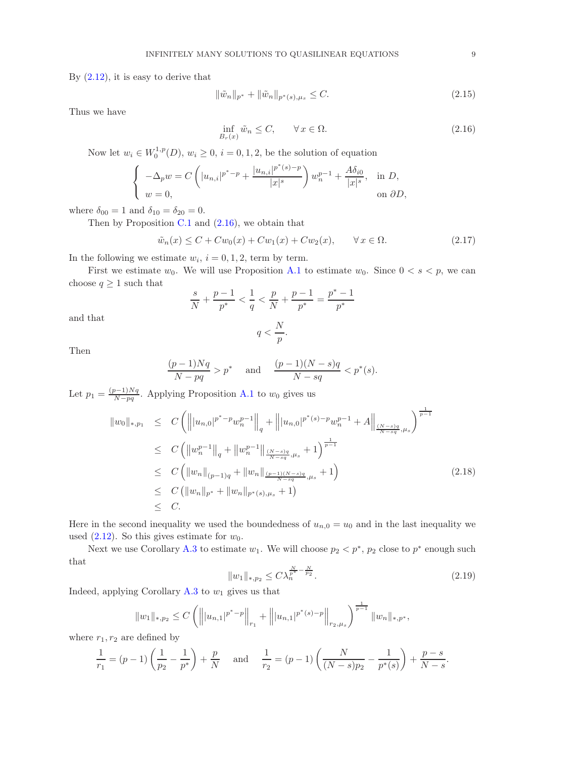By  $(2.12)$ , it is easy to derive that

$$
\|\tilde{w}_n\|_{p^*} + \|\tilde{w}_n\|_{p^*(s), \mu_s} \le C. \tag{2.15}
$$

Thus we have

<span id="page-8-0"></span>
$$
\inf_{B_r(x)} \tilde{w}_n \le C, \qquad \forall x \in \Omega.
$$
\n(2.16)

Now let  $w_i \in W_0^{1,p}(D)$ ,  $w_i \geq 0$ ,  $i = 0, 1, 2$ , be the solution of equation

$$
\begin{cases}\n-\Delta_p w = C\left(|u_{n,i}|^{p^*-p} + \frac{|u_{n,i}|^{p^*(s)-p}}{|x|^s}\right)w_n^{p-1} + \frac{A\delta_{i0}}{|x|^s}, & \text{in } D, \\
w = 0, & \text{on } \partial D,\n\end{cases}
$$

where  $\delta_{00} = 1$  and  $\delta_{10} = \delta_{20} = 0$ .

Then by Proposition  $C.1$  and  $(2.16)$ , we obtain that

<span id="page-8-2"></span>
$$
\tilde{w}_n(x) \le C + Cw_0(x) + Cw_1(x) + Cw_2(x), \qquad \forall x \in \Omega.
$$
\n
$$
(2.17)
$$

In the following we estimate  $w_i$ ,  $i = 0, 1, 2$ , term by term.

First we estimate  $w_0$ . We will use Proposition [A.1](#page-18-1) to estimate  $w_0$ . Since  $0 < s < p$ , we can choose  $q \geq 1$  such that

$$
\frac{s}{N} + \frac{p-1}{p^*} < \frac{1}{q} < \frac{p}{N} + \frac{p-1}{p^*} = \frac{p^*-1}{p^*}
$$

and that

$$
q < \frac{N}{p}.
$$

Then

$$
\frac{(p-1)Nq}{N-pq} > p^* \quad \text{and} \quad \frac{(p-1)(N-s)q}{N-sq} < p^*(s).
$$

Let  $p_1 = \frac{(p-1)Nq}{N-qa}$  $\frac{S-1/Nq}{N-pq}$ . Applying Proposition [A.1](#page-18-1) to  $w_0$  gives us

$$
\|w_0\|_{*,p_1} \leq C \left( \left\| |u_{n,0}|^{p^* - p} w_n^{p-1} \right\|_q + \left\| |u_{n,0}|^{p^*(s) - p} w_n^{p-1} + A \right\|_{\frac{(N-s)q}{N-sq},\mu_s} \right)^{\frac{1}{p-1}} \n\leq C \left( \left\| w_n^{p-1} \right\|_q + \left\| w_n^{p-1} \right\|_{\frac{(N-s)q}{N-sq},\mu_s} + 1 \right)^{\frac{1}{p-1}} \n\leq C \left( \left\| w_n \right\|_{(p-1)q} + \left\| w_n \right\|_{\frac{(p-1)(N-s)q}{N-sq},\mu_s} + 1 \right) \n\leq C \left( \left\| w_n \right\|_{p^*} + \left\| w_n \right\|_{p^*(s),\mu_s} + 1 \right) \n\leq C.
$$
\n(2.18)

Here in the second inequality we used the boundedness of  $u_{n,0} = u_0$  and in the last inequality we used  $(2.12)$ . So this gives estimate for  $w_0$ .

Next we use Corollary [A.3](#page-20-0) to estimate  $w_1$ . We will choose  $p_2 < p^*$ ,  $p_2$  close to  $p^*$  enough such that

<span id="page-8-1"></span>
$$
||w_1||_{*,p_2} \le C\lambda_n^{\frac{N}{p^*} - \frac{N}{p_2}}.
$$
\n(2.19)

Indeed, applying Corollary [A.3](#page-20-0) to  $w_1$  gives us that

$$
||w_1||_{*,p_2} \leq C \left( \left\||u_{n,1}|^{p^*-p}\right\|_{r_1} + \left\||u_{n,1}|^{p^*(s)-p}\right\|_{r_2,\mu_s} \right)^{\frac{1}{p-1}} ||w_n||_{*,p^*},
$$

where  $r_1, r_2$  are defined by

$$
\frac{1}{r_1} = (p-1)\left(\frac{1}{p_2} - \frac{1}{p^*}\right) + \frac{p}{N} \quad \text{and} \quad \frac{1}{r_2} = (p-1)\left(\frac{N}{(N-s)p_2} - \frac{1}{p^*(s)}\right) + \frac{p-s}{N-s}.
$$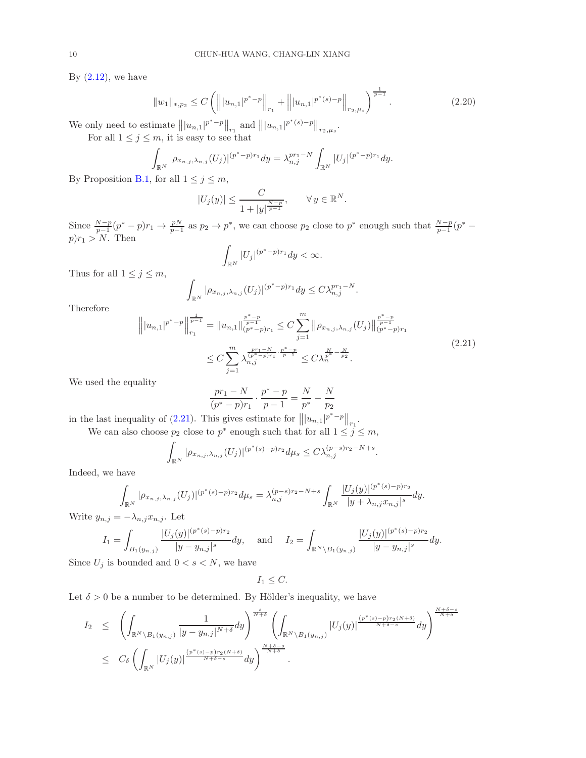By  $(2.12)$ , we have

<span id="page-9-1"></span>
$$
||w_1||_{*,p_2} \le C \left( \left\| |u_{n,1}|^{p^* - p} \right\|_{r_1} + \left\| |u_{n,1}|^{p^*(s) - p} \right\|_{r_2, \mu_s} \right)^{\frac{1}{p-1}}.
$$
\n(2.20)

We only need to estimate  $|||u_{n,1}|^{p^* - p}||_{r_1}$  and  $|||u_{n,1}|^{p^*(s) - p}||_{r_2,\mu_s}$ . For all  $1 \leq j \leq m$ , it is easy to see that

$$
\int_{\mathbb{R}^N} |\rho_{x_{n,j},\lambda_{n,j}}(U_j)|^{(p^*-p)r_1} dy = \lambda_{n,j}^{pr_1-N} \int_{\mathbb{R}^N} |U_j|^{(p^*-p)r_1} dy.
$$

By Proposition [B.1,](#page-23-1) for all  $1 \leq j \leq m$ ,

$$
|U_j(y)| \le \frac{C}{1+|y|^{\frac{N-p}{p-1}}}, \quad \forall y \in \mathbb{R}^N.
$$

Since  $\frac{N-p}{p-1}(p^* - p)r_1 \to \frac{pN}{p-1}$  as  $p_2 \to p^*$ , we can choose  $p_2$  close to  $p^*$  enough such that  $\frac{N-p}{p-1}(p^* - p)r_1 \to \frac{pN}{p-1}$  $p)r_1 > N$ . Then

$$
\int_{\mathbb{R}^N} |U_j|^{(p^*-p)r_1} dy < \infty.
$$

Thus for all  $1 \leq j \leq m$ ,

$$
\int_{\mathbb{R}^N} |\rho_{x_{n,j},\lambda_{n,j}}(U_j)|^{(p^*-p)r_1} dy \leq C \lambda_{n,j}^{pr_1-N}.
$$

Therefore

<span id="page-9-0"></span>
$$
\left\| |u_{n,1}|^{p^* - p} \right\|_{r_1}^{\frac{1}{p-1}} = \|u_{n,1}\|_{(p^* - p)r_1}^{\frac{p^* - p}{p-1}} \leq C \sum_{j=1}^m \left\| \rho_{x_{n,j},\lambda_{n,j}}(U_j) \right\|_{(p^* - p)r_1}^{\frac{p^* - p}{p-1}}
$$
  

$$
\leq C \sum_{j=1}^m \lambda_{n,j}^{\frac{p^* - p}{(p^* - p)r_1} \cdot \frac{p^* - p}{p-1}} \leq C \lambda_n^{\frac{N}{p^*} - \frac{N}{p_2}}.
$$
\n(2.21)

We used the equality

$$
\frac{pr_1 - N}{(p^* - p)r_1} \cdot \frac{p^* - p}{p - 1} = \frac{N}{p^*} - \frac{N}{p_2}
$$

in the last inequality of [\(2.21\)](#page-9-0). This gives estimate for  $|||u_{n,1}|^{p^*-p}||_{r_1}$ .

We can also choose  $p_2$  close to  $p^*$  enough such that for all  $1 \leq j \leq m$ ,

$$
\int_{\mathbb{R}^N} |\rho_{x_{n,j},\lambda_{n,j}}(U_j)|^{(p^*(s)-p) r_2} d\mu_s \le C \lambda_{n,j}^{(p-s) r_2 - N + s}.
$$

Indeed, we have

$$
\int_{\mathbb{R}^N} |\rho_{x_{n,j},\lambda_{n,j}}(U_j)|^{(p^*(s)-p)r_2} d\mu_s = \lambda_{n,j}^{(p-s)r_2-N+s} \int_{\mathbb{R}^N} \frac{|U_j(y)|^{(p^*(s)-p)r_2}}{|y+\lambda_{n,j}x_{n,j}|^s} dy.
$$

Write  $y_{n,j} = -\lambda_{n,j} x_{n,j}$ . Let

$$
I_1 = \int_{B_1(y_{n,j})} \frac{|U_j(y)|^{(p^*(s)-p)r_2}}{|y-y_{n,j}|^s} dy, \quad \text{ and } \quad I_2 = \int_{\mathbb{R}^N \backslash B_1(y_{n,j})} \frac{|U_j(y)|^{(p^*(s)-p)r_2}}{|y-y_{n,j}|^s} dy.
$$

Since  $U_j$  is bounded and  $0 < s < N$ , we have

$$
I_1 \leq C.
$$

Let  $\delta > 0$  be a number to be determined. By Hölder's inequality, we have

$$
I_2 \leq \left( \int_{\mathbb{R}^N \backslash B_1(y_{n,j})} \frac{1}{|y - y_{n,j}|^{N+\delta}} dy \right)^{\frac{s}{N+\delta}} \left( \int_{\mathbb{R}^N \backslash B_1(y_{n,j})} |U_j(y)|^{\frac{(p^*(s) - p) r_2(N+\delta)}{N+\delta-s}} dy \right)^{\frac{N+\delta-s}{N+\delta}}
$$
  

$$
\leq C_{\delta} \left( \int_{\mathbb{R}^N} |U_j(y)|^{\frac{(p^*(s) - p) r_2(N+\delta)}{N+\delta-s}} dy \right)^{\frac{N+\delta-s}{N+\delta}}.
$$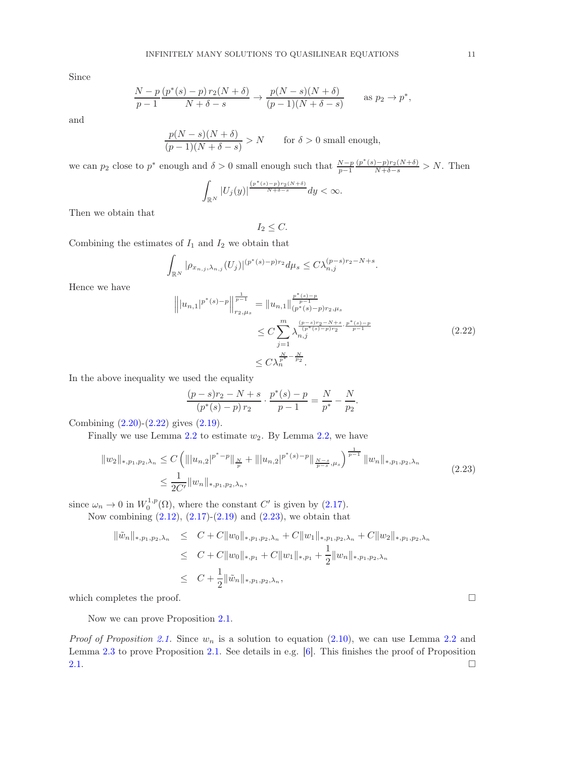Since

$$
\frac{N-p}{p-1} \frac{(p^*(s)-p) r_2(N+\delta)}{N+\delta-s} \to \frac{p(N-s)(N+\delta)}{(p-1)(N+\delta-s)} \quad \text{as } p_2 \to p^*,
$$

and

$$
\frac{p(N-s)(N+\delta)}{(p-1)(N+\delta-s)}>N\qquad\text{for }\delta>0\text{ small enough},
$$

we can  $p_2$  close to  $p^*$  enough and  $\delta > 0$  small enough such that  $\frac{N-p}{p-1}$  $\frac{(p^*(s)-p)r_2(N+\delta)}{N+\delta-s} > N.$  Then

$$
\int_{\mathbb{R}^N} |U_j(y)|^{\frac{\left(p^*(s)-p\right) r_2(N+\delta)}{N+\delta-s}}dy < \infty.
$$

Then we obtain that

$$
I_2 \leq C.
$$

Combining the estimates of  $I_1$  and  $I_2$  we obtain that

$$
\int_{\mathbb{R}^N} |\rho_{x_{n,j},\lambda_{n,j}}(U_j)|^{(p^*(s)-p)r_2} d\mu_s \le C\lambda_{n,j}^{(p-s)r_2-N+s}.
$$

Hence we have

<span id="page-10-0"></span>
$$
\left\| |u_{n,1}|^{p^*(s)-p} \right\|_{r_{2},\mu_s}^{\frac{1}{p-1}} = \|u_{n,1}\|_{(p^*(s)-p)r_2,\mu_s}^{\frac{p^*(s)-p}{p-1}} \leq C \sum_{j=1}^m \frac{\binom{p-s}{r}r_2-N+s}{\binom{p^*(s)-p}{r}r_2} \cdot \frac{\binom{p^*(s)-p}{p^*(s)-p}}{p-1} \leq C \lambda_n^{\frac{N}{p^*}-\frac{N}{p^2}}.
$$
\n(2.22)

In the above inequality we used the equality

$$
\frac{(p-s)r_2 - N + s}{(p^*(s) - p) r_2} \cdot \frac{p^*(s) - p}{p - 1} = \frac{N}{p^*} - \frac{N}{p_2}.
$$

Combining [\(2.20\)](#page-9-1)-[\(2.22\)](#page-10-0) gives [\(2.19\)](#page-8-1).

Finally we use Lemma  $2.2$  to estimate  $w_2$ . By Lemma  $2.2$ , we have

<span id="page-10-1"></span>
$$
||w_2||_{*,p_1,p_2,\lambda_n} \leq C \left( |||u_{n,2}|^{p^*-p}||_{\frac{N}{p}} + |||u_{n,2}|^{p^*(s)-p}||_{\frac{N-s}{p-s},\mu_s} \right)^{\frac{1}{p-1}} ||w_n||_{*,p_1,p_2,\lambda_n}
$$
  

$$
\leq \frac{1}{2C'} ||w_n||_{*,p_1,p_2,\lambda_n},
$$
\n(2.23)

since  $\omega_n \to 0$  in  $W_0^{1,p}(\Omega)$ , where the constant C' is given by [\(2.17\)](#page-8-2).

Now combining  $(2.12)$ ,  $(2.17)-(2.19)$  $(2.17)-(2.19)$  and  $(2.23)$ , we obtain that

$$
\|\tilde{w}_n\|_{*,p_1,p_2,\lambda_n} \leq C + C \|w_0\|_{*,p_1,p_2,\lambda_n} + C \|w_1\|_{*,p_1,p_2,\lambda_n} + C \|w_2\|_{*,p_1,p_2,\lambda_n}
$$
  
\n
$$
\leq C + C \|w_0\|_{*,p_1} + C \|w_1\|_{*,p_1} + \frac{1}{2} \|w_n\|_{*,p_1,p_2,\lambda_n}
$$
  
\n
$$
\leq C + \frac{1}{2} \|\tilde{w}_n\|_{*,p_1,p_2,\lambda_n},
$$

which completes the proof.  $\Box$ 

Now we can prove Proposition [2.1.](#page-4-2)

*Proof of Proposition [2.1.](#page-4-2)* Since  $w_n$  is a solution to equation [\(2.10\)](#page-7-0), we can use Lemma [2.2](#page-4-6) and Lemma [2.3](#page-5-3) to prove Proposition [2.1.](#page-4-2) See details in e.g. [\[6\]](#page-26-9). This finishes the proof of Proposition [2.1.](#page-4-2)  $\Box$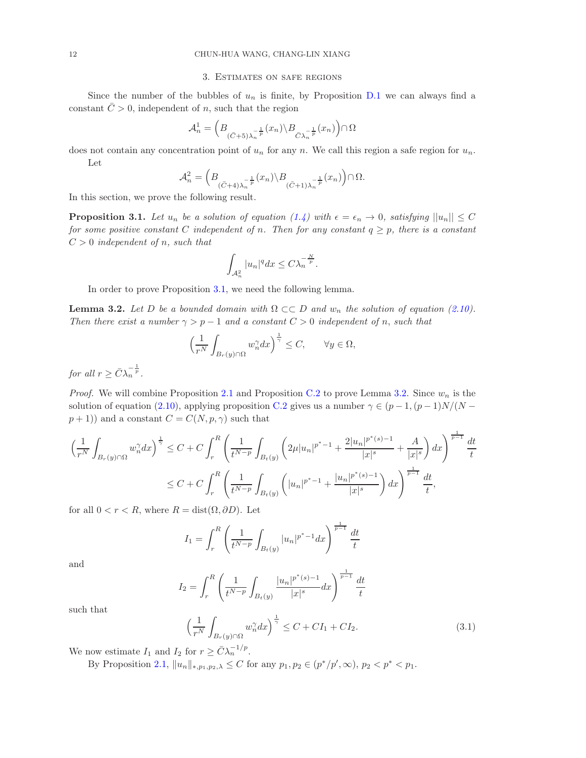#### 3. Estimates on safe regions

<span id="page-11-0"></span>Since the number of the bubbles of  $u_n$  is finite, by Proposition [D.1](#page-25-1) we can always find a constant  $\overline{C} > 0$ , independent of n, such that the region

$$
\mathcal{A}_n^1 = \left( B_{(\bar{C} + 5)\lambda_n^{-\frac{1}{p}}}(x_n) \backslash B_{\bar{C}\lambda_n^{-\frac{1}{p}}}(x_n) \right) \cap \Omega
$$

does not contain any concentration point of  $u_n$  for any n. We call this region a safe region for  $u_n$ . Let

$$
\mathcal{A}_n^2 = \left( B_{\left(\bar{C}+4\right)\lambda_n^{-\frac{1}{p}}}(x_n) \backslash B_{\left(\bar{C}+1\right)\lambda_n^{-\frac{1}{p}}}(x_n) \right) \cap \Omega.
$$

In this section, we prove the following result.

<span id="page-11-1"></span>**Proposition 3.1.** Let  $u_n$  be a solution of equation [\(1.4\)](#page-1-1) with  $\epsilon = \epsilon_n \to 0$ , satisfying  $||u_n|| \leq C$ for some positive constant C independent of n. Then for any constant  $q \geq p$ , there is a constant  $C > 0$  independent of n, such that

$$
\int_{\mathcal{A}_n^2} |u_n|^q dx \leq C \lambda_n^{-\frac{N}{p}}.
$$

In order to prove Proposition [3.1,](#page-11-1) we need the following lemma.

<span id="page-11-2"></span>**Lemma 3.2.** Let D be a bounded domain with  $\Omega \subset\subset D$  and  $w_n$  the solution of equation [\(2.10\)](#page-7-0). Then there exist a number  $\gamma > p-1$  and a constant  $C > 0$  independent of n, such that

$$
\left(\frac{1}{r^N}\int_{B_r(y)\cap\Omega}w_n^{\gamma}dx\right)^{\frac{1}{\gamma}}\leq C, \qquad \forall y\in\Omega,
$$

for all  $r \geq \bar{C} \lambda_n^{-\frac{1}{p}}$ .

*Proof.* We will combine Proposition [2.1](#page-4-2) and Proposition [C.2](#page-25-2) to prove Lemma [3.2.](#page-11-2) Since  $w_n$  is the solution of equation [\(2.10\)](#page-7-0), applying proposition [C.2](#page-25-2) gives us a number  $\gamma \in (p-1,(p-1)N/(N-1))$  $(p+1)$ ) and a constant  $C = C(N, p, \gamma)$  such that

$$
\left(\frac{1}{r^N} \int_{B_r(y)\cap\Omega} w_n^{\gamma} dx\right)^{\frac{1}{\gamma}} \le C + C \int_r^R \left(\frac{1}{t^{N-p}} \int_{B_t(y)} \left(2\mu |u_n|^{p^*-1} + \frac{2|u_n|^{p^*(s)-1}}{|x|^s} + \frac{A}{|x|^s}\right) dx\right)^{\frac{1}{p-1}} \frac{dt}{t}
$$
  

$$
\le C + C \int_r^R \left(\frac{1}{t^{N-p}} \int_{B_t(y)} \left(|u_n|^{p^*-1} + \frac{|u_n|^{p^*(s)-1}}{|x|^s}\right) dx\right)^{\frac{1}{p-1}} \frac{dt}{t},
$$

for all  $0 < r < R$ , where  $R = \text{dist}(\Omega, \partial D)$ . Let

$$
I_1 = \int_r^R \left( \frac{1}{t^{N-p}} \int_{B_t(y)} |u_n|^{p^*-1} dx \right)^{\frac{1}{p-1}} \frac{dt}{t}
$$

and

$$
I_2 = \int_r^R \left( \frac{1}{t^{N-p}} \int_{B_t(y)} \frac{|u_n|^{p^*(s)-1}}{|x|^s} dx \right)^{\frac{1}{p-1}} \frac{dt}{t}
$$

such that

<span id="page-11-3"></span>
$$
\left(\frac{1}{r^N} \int_{B_r(y)\cap\Omega} w_n^{\gamma} dx\right)^{\frac{1}{\gamma}} \le C + C I_1 + C I_2.
$$
\n(3.1)

We now estimate  $I_1$  and  $I_2$  for  $r \geq \bar{C} \lambda_n^{-1/p}$ .

By Proposition [2.1,](#page-4-2)  $||u_n||_{*,p_1,p_2,\lambda} \leq C$  for any  $p_1, p_2 \in (p^*/p', \infty)$ ,  $p_2 < p^* < p_1$ .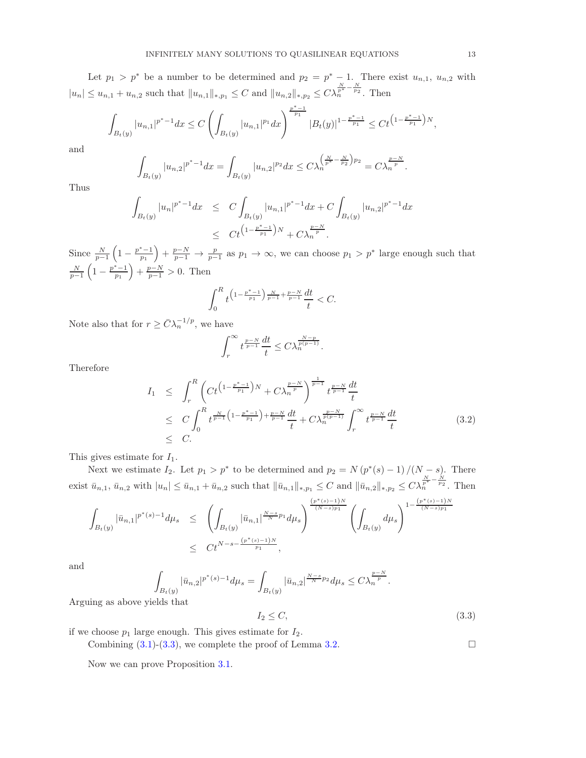Let  $p_1 > p^*$  be a number to be determined and  $p_2 = p^* - 1$ . There exist  $u_{n,1}, u_{n,2}$  with  $|u_n| \leq u_{n,1} + u_{n,2}$  such that  $||u_{n,1}||_{*,p_1} \leq C$  and  $||u_{n,2}||_{*,p_2} \leq C \lambda_n^{\frac{N}{2^{*}} - \frac{N}{p_2}}$ . Then

$$
\int_{B_t(y)} |u_{n,1}|^{p^*-1} dx \le C \left( \int_{B_t(y)} |u_{n,1}|^{p_1} dx \right)^{\frac{p^*-1}{p_1}} |B_t(y)|^{1-\frac{p^*-1}{p_1}} \le C t^{(1-\frac{p^*-1}{p_1})N},
$$

and

$$
\int_{B_t(y)} |u_{n,2}|^{p^*-1} dx = \int_{B_t(y)} |u_{n,2}|^{p_2} dx \le C \lambda_n^{\left(\frac{N}{p^*} - \frac{N}{p_2}\right)p_2} = C \lambda_n^{\frac{p-N}{p}}.
$$

Thus

$$
\int_{B_t(y)} |u_n|^{p^*-1} dx \le C \int_{B_t(y)} |u_{n,1}|^{p^*-1} dx + C \int_{B_t(y)} |u_{n,2}|^{p^*-1} dx
$$
\n
$$
\le C t^{\left(1 - \frac{p^*-1}{p_1}\right)N} + C \lambda_n^{\frac{p-N}{p}}.
$$

Since  $\frac{N}{p-1}\left(1-\frac{p^*-1}{p_1}\right)$  $\left(\frac{p-1}{p_1}\right) + \frac{p-N}{p-1} \to \frac{p}{p-1}$  as  $p_1 \to \infty$ , we can choose  $p_1 > p^*$  large enough such that  $\frac{N}{p-1}\left(1-\frac{p^*-1}{p_1}\right)$  $\left(\frac{p-1}{p_1}\right) + \frac{p-N}{p-1} > 0$ . Then

$$
\int_0^R t^{\left(1-\frac{p^*-1}{p_1}\right)\frac{N}{p-1}+\frac{p-N}{p-1}}\frac{dt}{t} < C.
$$

Note also that for  $r \geq \bar{C} \lambda_n^{-1/p}$ , we have

$$
\int_r^{\infty} t^{\frac{p-N}{p-1}} \frac{dt}{t} \leq C \lambda_n^{\frac{N-p}{p(p-1)}}.
$$

Therefore

$$
I_{1} \leq \int_{r}^{R} \left( Ct^{\left(1-\frac{p^{*}-1}{p_{1}}\right)N} + C\lambda_{n}^{\frac{p-N}{p}} \right)^{\frac{1}{p-1}} t^{\frac{p-N}{p-1}} \frac{dt}{t}
$$
  
\n
$$
\leq C \int_{0}^{R} t^{\frac{N}{p-1}\left(1-\frac{p^{*}-1}{p_{1}}\right) + \frac{p-N}{p-1}} \frac{dt}{t} + C\lambda_{n}^{\frac{p-N}{p(p-1)}} \int_{r}^{\infty} t^{\frac{p-N}{p-1}} \frac{dt}{t}
$$
  
\n
$$
\leq C.
$$
 (3.2)

This gives estimate for  $I_1$ .

Next we estimate  $I_2$ . Let  $p_1 > p^*$  to be determined and  $p_2 = N(p^*(s) - 1)/(N - s)$ . There exist  $\bar{u}_{n,1}, \bar{u}_{n,2}$  with  $|u_n| \leq \bar{u}_{n,1} + \bar{u}_{n,2}$  such that  $\|\bar{u}_{n,1}\|_{*,p_1} \leq C$  and  $\|\bar{u}_{n,2}\|_{*,p_2} \leq C \lambda_n^{\frac{N}{2^*} - \frac{N}{p_2}}$ . Then

$$
\int_{B_t(y)} |\bar{u}_{n,1}|^{p^*(s)-1} d\mu_s \leq \left( \int_{B_t(y)} |\bar{u}_{n,1}|^{\frac{N-s}{N}p_1} d\mu_s \right)^{\frac{(p^*(s)-1)N}{(N-s)p_1}} \left( \int_{B_t(y)} d\mu_s \right)^{1-\frac{(p^*(s)-1)N}{(N-s)p_1}} \leq C t^{N-s-\frac{(p^*(s)-1)N}{p_1}},
$$

and

$$
\int_{B_t(y)} |\bar{u}_{n,2}|^{p^*(s)-1} d\mu_s = \int_{B_t(y)} |\bar{u}_{n,2}|^{\frac{N-s}{N}p_2} d\mu_s \leq C \lambda_n^{\frac{p-N}{p}}.
$$
 yields that

Arguing as above y

<span id="page-12-0"></span>
$$
I_2 \le C,\tag{3.3}
$$

if we choose  $p_1$  large enough. This gives estimate for  $I_2$ .

Combining  $(3.1)-(3.3)$  $(3.1)-(3.3)$ , we complete the proof of Lemma [3.2.](#page-11-2)

Now we can prove Proposition [3.1.](#page-11-1)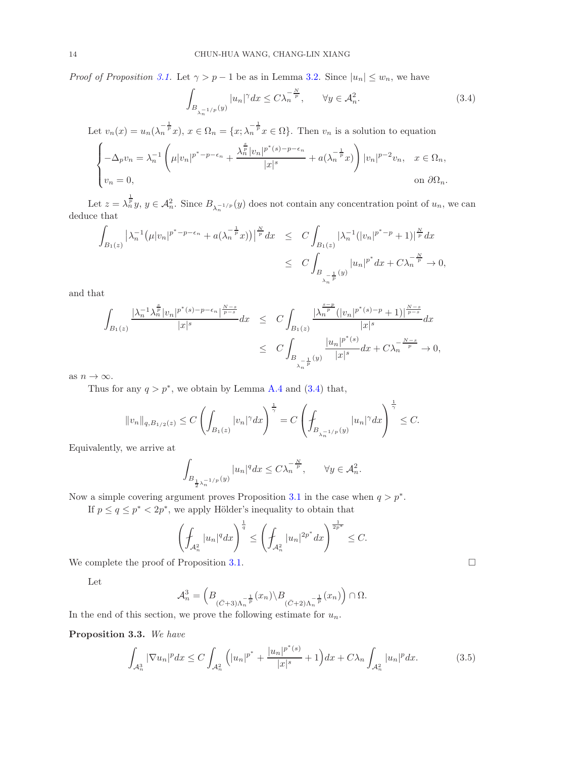*Proof of Proposition [3.1.](#page-11-1)* Let  $\gamma > p - 1$  be as in Lemma [3.2.](#page-11-2) Since  $|u_n| \leq w_n$ , we have

<span id="page-13-0"></span>
$$
\int_{B_{\lambda_n^{-1/p}}(y)} |u_n|^\gamma dx \le C\lambda_n^{-\frac{N}{p}}, \qquad \forall y \in \mathcal{A}_n^2.
$$
\n(3.4)

Let  $v_n(x) = u_n(\lambda_n^{-\frac{1}{p}}x), x \in \Omega_n = \{x; \lambda_n^{-\frac{1}{p}}x \in \Omega\}$ . Then  $v_n$  is a solution to equation

$$
\begin{cases}\n-\Delta_p v_n = \lambda_n^{-1} \left( \mu |v_n|^{p^* - p - \epsilon_n} + \frac{\lambda_n^{\frac{s}{p}} |v_n|^{p^*(s) - p - \epsilon_n}}{|x|^s} + a(\lambda_n^{-\frac{1}{p}} x) \right) |v_n|^{p-2} v_n, & x \in \Omega_n, \\
v_n = 0, & \text{on } \partial\Omega_n.\n\end{cases}
$$

Let  $z = \lambda_n^{\frac{1}{p}} y$ ,  $y \in \mathcal{A}_n^2$ . Since  $B_{\lambda_n^{-1/p}}(y)$  does not contain any concentration point of  $u_n$ , we can deduce that

$$
\int_{B_1(z)} |\lambda_n^{-1} (\mu |v_n|^{p^* - p - \epsilon_n} + a(\lambda_n^{-\frac{1}{p}} x))|^{p \over p} dx \leq C \int_{B_1(z)} |\lambda_n^{-1} (|v_n|^{p^* - p} + 1)|^{p \over p} dx
$$
  

$$
\leq C \int_{B_{\lambda_n^{-\frac{1}{p}}}(y)} |u_n|^{p^*} dx + C \lambda_n^{-\frac{N}{p}} \to 0,
$$

and that

$$
\begin{array}{lcl} \displaystyle\int_{B_1(z)}\frac{|\lambda_n^{-1}\lambda_n^{\frac{s}{p}}|v_n|^{p^*(s)-p-\epsilon_n}|^{\frac{N-s}{p-s}}}{|x|^s}dx&\leq& C\displaystyle\int_{B_1(z)}\frac{|\lambda_n^{\frac{s-p}{p}}(|v_n|^{p^*(s)-p}+1)|^{\frac{N-s}{p-s}}}{|x|^s}dx\\&\leq& C\displaystyle\int_{B_{\frac{1}{\lambda_n}}\frac{1}{p}}(y)\frac{|u_n|^{p^*(s)}}{|x|^s}dx+C\lambda_n^{-\frac{N-s}{p}}\to 0, \end{array}
$$

as  $n \to \infty$ .

Thus for any  $q > p^*$ , we obtain by Lemma [A.4](#page-21-0) and [\(3.4\)](#page-13-0) that,

$$
||v_n||_{q, B_{1/2}(z)} \leq C \left( \int_{B_1(z)} |v_n|^\gamma dx \right)^{\frac{1}{\gamma}} = C \left( \int_{B_{\lambda_n^{-1/p}}(y)} |u_n|^\gamma dx \right)^{\frac{1}{\gamma}} \leq C.
$$

Equivalently, we arrive at

$$
\int_{B_{\frac{1}{2}\lambda_n^{-1/p}}(y)} |u_n|^q dx \le C\lambda_n^{-\frac{N}{p}}, \qquad \forall y \in \mathcal{A}_n^2.
$$

Now a simple covering argument proves Proposition [3.1](#page-11-1) in the case when  $q > p^*$ .

If  $p \le q \le p^*$ , we apply Hölder's inequality to obtain that

$$
\left(\int_{\mathcal{A}_n^2} |u_n|^q dx\right)^{\frac{1}{q}} \le \left(\int_{\mathcal{A}_n^2} |u_n|^{2p^*} dx\right)^{\frac{1}{2p^*}} \le C.
$$

We complete the proof of Proposition [3.1.](#page-11-1)

Let

$$
\mathcal{A}_n^3 = \left( B_{(\bar{C}+3)\Lambda_n^{-\frac{1}{p}}}(x_n) \backslash B_{(\bar{C}+2)\Lambda_n^{-\frac{1}{p}}}(x_n) \right) \cap \Omega.
$$

In the end of this section, we prove the following estimate for  $u_n$ .

Proposition 3.3. We have

<span id="page-13-1"></span>
$$
\int_{\mathcal{A}_n^3} |\nabla u_n|^p dx \le C \int_{\mathcal{A}_n^2} \left( |u_n|^{p^*} + \frac{|u_n|^{p^*(s)}}{|x|^s} + 1 \right) dx + C\lambda_n \int_{\mathcal{A}_n^2} |u_n|^p dx. \tag{3.5}
$$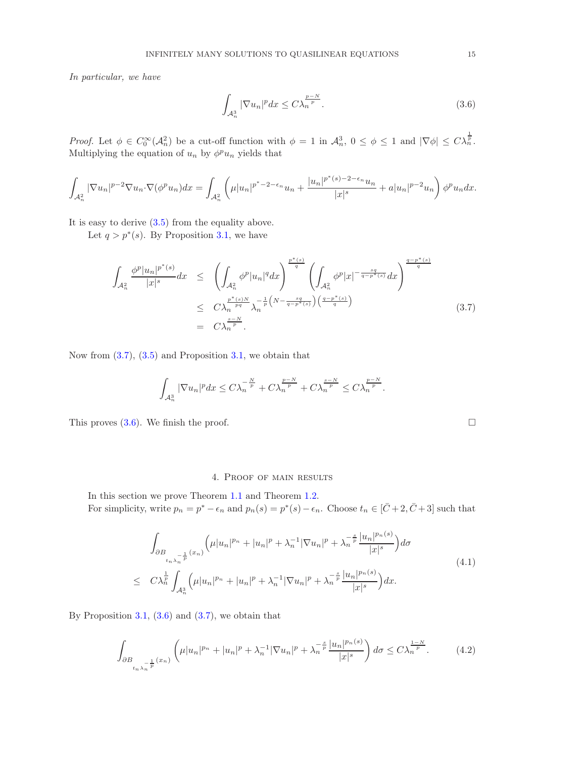In particular, we have

<span id="page-14-2"></span>
$$
\int_{\mathcal{A}_n^3} |\nabla u_n|^p dx \le C \lambda_n^{\frac{p-N}{p}}.
$$
\n(3.6)

Proof. Let  $\phi \in C_0^{\infty}(\mathcal{A}_n^2)$  be a cut-off function with  $\phi = 1$  in  $\mathcal{A}_n^3$ ,  $0 \le \phi \le 1$  and  $|\nabla \phi| \le C\lambda_n^{\frac{1}{p}}$ . Multiplying the equation of  $u_n$  by  $\phi^p u_n$  yields that

$$
\int_{\mathcal{A}_n^2} |\nabla u_n|^{p-2} \nabla u_n \cdot \nabla (\phi^p u_n) dx = \int_{\mathcal{A}_n^2} \left( \mu |u_n|^{p^* - 2 - \epsilon_n} u_n + \frac{|u_n|^{p^*(s) - 2 - \epsilon_n} u_n}{|x|^s} + a |u_n|^{p-2} u_n \right) \phi^p u_n dx.
$$

It is easy to derive [\(3.5\)](#page-13-1) from the equality above.

Let  $q > p^*(s)$ . By Proposition [3.1,](#page-11-1) we have

<span id="page-14-1"></span>
$$
\int_{\mathcal{A}_n^2} \frac{\phi^p |u_n|^{p^*(s)}}{|x|^s} dx \le \left( \int_{\mathcal{A}_n^2} \phi^p |u_n|^q dx \right)^{\frac{p^*(s)}{q}} \left( \int_{\mathcal{A}_n^2} \phi^p |x|^{-\frac{sq}{q-p^*(s)}} dx \right)^{\frac{q-p^*(s)}{q}}
$$
\n
$$
\le C\lambda_n^{\frac{p^*(s)N}{pq}} \lambda_n^{-\frac{1}{p}\left(N - \frac{sq}{q-p^*(s)}\right)\left(\frac{q-p^*(s)}{q}\right)} \left( \frac{q-p^*(s)}{q} \right)
$$
\n
$$
= C\lambda_n^{\frac{s-N}{p}}.
$$
\n(3.7)

Now from  $(3.7)$ ,  $(3.5)$  and Proposition [3.1,](#page-11-1) we obtain that

$$
\int_{\mathcal{A}_n^3} |\nabla u_n|^p dx \le C\lambda_n^{-\frac{N}{p}} + C\lambda_n^{\frac{p-N}{p}} + C\lambda_n^{\frac{s-N}{p}} \le C\lambda_n^{\frac{p-N}{p}}.
$$

This proves  $(3.6)$ . We finish the proof.

#### 4. Proof of main results

<span id="page-14-0"></span>In this section we prove Theorem [1.1](#page-2-1) and Theorem [1.2.](#page-2-2) For simplicity, write  $p_n = p^* - \epsilon_n$  and  $p_n(s) = p^*(s) - \epsilon_n$ . Choose  $t_n \in [\bar{C} + 2, \bar{C} + 3]$  such that

$$
\int_{\partial B_{t_{n}\lambda_{n}}^{-1} \atop t_{n}\lambda_{n}} \left( \mu |u_{n}|^{p_{n}} + |u_{n}|^{p} + \lambda_{n}^{-1} |\nabla u_{n}|^{p} + \lambda_{n}^{-\frac{s}{p}} \frac{|u_{n}|^{p_{n}(s)}}{|x|^{s}} \right) d\sigma
$$
\n
$$
\leq C\lambda_{n}^{\frac{1}{p}} \int_{\mathcal{A}_{n}^{3}} \left( \mu |u_{n}|^{p_{n}} + |u_{n}|^{p} + \lambda_{n}^{-1} |\nabla u_{n}|^{p} + \lambda_{n}^{-\frac{s}{p}} \frac{|u_{n}|^{p_{n}(s)}}{|x|^{s}} \right) dx.
$$
\n
$$
(4.1)
$$

By Proposition [3.1,](#page-11-1)  $(3.6)$  and  $(3.7)$ , we obtain that

<span id="page-14-3"></span>
$$
\int_{\partial B_{t_{n}\lambda_{n}^{-\frac{1}{p}}}(x_{n})} \left( \mu |u_{n}|^{p_{n}} + |u_{n}|^{p} + \lambda_{n}^{-1} |\nabla u_{n}|^{p} + \lambda_{n}^{-\frac{s}{p}} \frac{|u_{n}|^{p_{n}(s)}}{|x|^{s}} \right) d\sigma \leq C\lambda_{n}^{\frac{1-N}{p}}.
$$
 (4.2)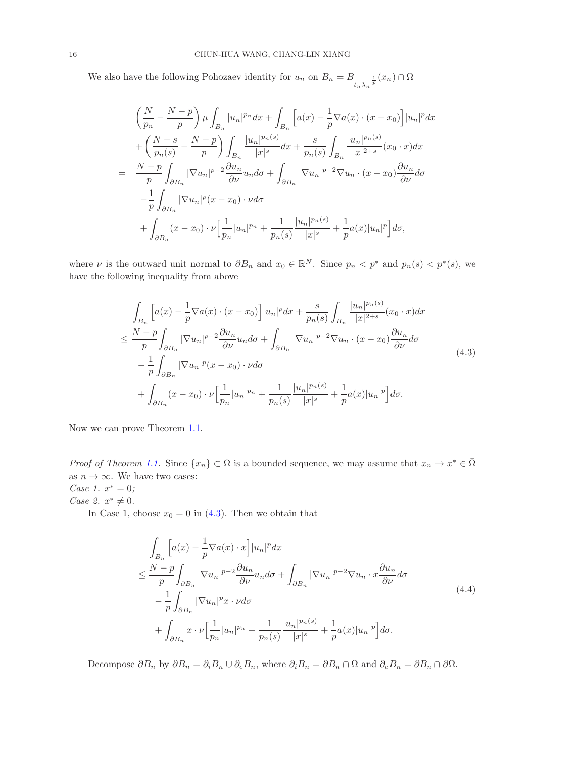We also have the following Pohozaev identity for  $u_n$  on  $B_n = B_{t_n \lambda_n^{-\frac{1}{p}}}(x_n) \cap \Omega$ 

$$
\left(\frac{N}{p_n} - \frac{N-p}{p}\right) \mu \int_{B_n} |u_n|^{p_n} dx + \int_{B_n} \left[a(x) - \frac{1}{p} \nabla a(x) \cdot (x - x_0)\right] |u_n|^{p} dx \n+ \left(\frac{N-s}{p_n(s)} - \frac{N-p}{p}\right) \int_{B_n} \frac{|u_n|^{p_n(s)}}{|x|^s} dx + \frac{s}{p_n(s)} \int_{B_n} \frac{|u_n|^{p_n(s)}}{|x|^{2+s}} (x_0 \cdot x) dx \n= \frac{N-p}{p} \int_{\partial B_n} |\nabla u_n|^{p-2} \frac{\partial u_n}{\partial \nu} u_n d\sigma + \int_{\partial B_n} |\nabla u_n|^{p-2} \nabla u_n \cdot (x - x_0) \frac{\partial u_n}{\partial \nu} d\sigma \n- \frac{1}{p} \int_{\partial B_n} |\nabla u_n|^{p} (x - x_0) \cdot \nu d\sigma \n+ \int_{\partial B_n} (x - x_0) \cdot \nu \left[\frac{1}{p_n} |u_n|^{p_n} + \frac{1}{p_n(s)} \frac{|u_n|^{p_n(s)}}{|x|^s} + \frac{1}{p} a(x) |u_n|^{p}\right] d\sigma,
$$

where  $\nu$  is the outward unit normal to  $\partial B_n$  and  $x_0 \in \mathbb{R}^N$ . Since  $p_n < p^*$  and  $p_n(s) < p^*(s)$ , we have the following inequality from above

<span id="page-15-0"></span>
$$
\int_{B_n} \left[ a(x) - \frac{1}{p} \nabla a(x) \cdot (x - x_0) \right] |u_n|^p dx + \frac{s}{p_n(s)} \int_{B_n} \frac{|u_n|^{p_n(s)}}{|x|^{2+s}} (x_0 \cdot x) dx
$$
\n
$$
\leq \frac{N-p}{p} \int_{\partial B_n} |\nabla u_n|^{p-2} \frac{\partial u_n}{\partial \nu} u_n d\sigma + \int_{\partial B_n} |\nabla u_n|^{p-2} \nabla u_n \cdot (x - x_0) \frac{\partial u_n}{\partial \nu} d\sigma
$$
\n
$$
- \frac{1}{p} \int_{\partial B_n} |\nabla u_n|^p (x - x_0) \cdot \nu d\sigma
$$
\n
$$
+ \int_{\partial B_n} (x - x_0) \cdot \nu \Big[ \frac{1}{p_n} |u_n|^{p_n} + \frac{1}{p_n(s)} \frac{|u_n|^{p_n(s)}}{|x|^s} + \frac{1}{p} a(x) |u_n|^p \Big] d\sigma.
$$
\n(4.3)

Now we can prove Theorem [1.1.](#page-2-1)

*Proof of Theorem [1.1.](#page-2-1)* Since  $\{x_n\} \subset \Omega$  is a bounded sequence, we may assume that  $x_n \to x^* \in \overline{\Omega}$ as  $n \to \infty$ . We have two cases:

Case 1.  $x^* = 0$ ;

*Case 2.*  $x^* \neq 0$ .

In Case 1, choose  $x_0 = 0$  in [\(4.3\)](#page-15-0). Then we obtain that

<span id="page-15-1"></span>
$$
\int_{B_n} \left[ a(x) - \frac{1}{p} \nabla a(x) \cdot x \right] |u_n|^p dx
$$
\n
$$
\leq \frac{N-p}{p} \int_{\partial B_n} |\nabla u_n|^{p-2} \frac{\partial u_n}{\partial \nu} u_n d\sigma + \int_{\partial B_n} |\nabla u_n|^{p-2} \nabla u_n \cdot x \frac{\partial u_n}{\partial \nu} d\sigma
$$
\n
$$
- \frac{1}{p} \int_{\partial B_n} |\nabla u_n|^p x \cdot \nu d\sigma + \int_{\partial B_n} x \cdot \nu \left[ \frac{1}{p_n} |u_n|^{p_n} + \frac{1}{p_n(s)} \frac{|u_n|^{p_n(s)}}{|x|^s} + \frac{1}{p} a(x) |u_n|^p \right] d\sigma.
$$
\n(4.4)

Decompose  $\partial B_n$  by  $\partial B_n = \partial_i B_n \cup \partial_e B_n$ , where  $\partial_i B_n = \partial B_n \cap \Omega$  and  $\partial_e B_n = \partial B_n \cap \partial \Omega$ .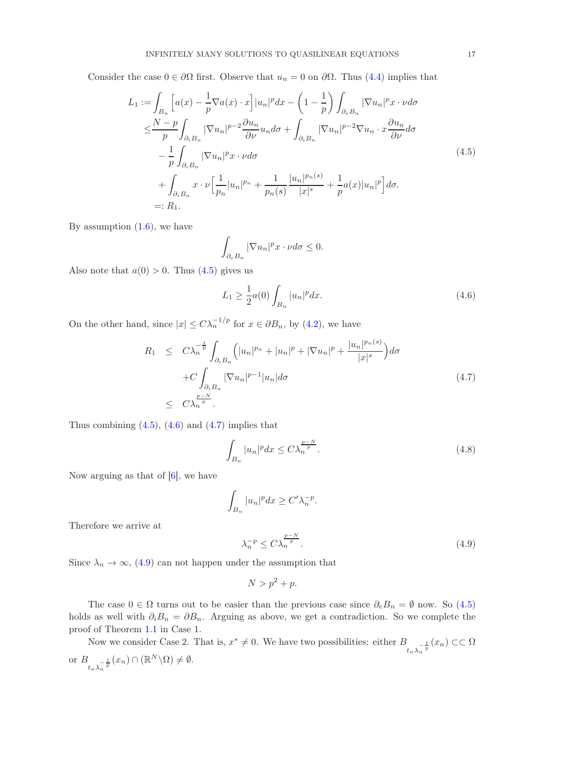Consider the case  $0 \in \partial\Omega$  first. Observe that  $u_n = 0$  on  $\partial\Omega$ . Thus [\(4.4\)](#page-15-1) implies that

<span id="page-16-0"></span>
$$
L_{1} := \int_{B_{n}} \left[ a(x) - \frac{1}{p} \nabla a(x) \cdot x \right] |u_{n}|^{p} dx - \left( 1 - \frac{1}{p} \right) \int_{\partial_{e} B_{n}} |\nabla u_{n}|^{p} x \cdot \nu d\sigma
$$
  
\n
$$
\leq \frac{N-p}{p} \int_{\partial_{i} B_{n}} |\nabla u_{n}|^{p-2} \frac{\partial u_{n}}{\partial \nu} u_{n} d\sigma + \int_{\partial_{i} B_{n}} |\nabla u_{n}|^{p-2} \nabla u_{n} \cdot x \frac{\partial u_{n}}{\partial \nu} d\sigma
$$
  
\n
$$
- \frac{1}{p} \int_{\partial_{i} B_{n}} |\nabla u_{n}|^{p} x \cdot \nu d\sigma
$$
  
\n
$$
+ \int_{\partial_{i} B_{n}} x \cdot \nu \Big[ \frac{1}{p_{n}} |u_{n}|^{p_{n}} + \frac{1}{p_{n}(s)} \frac{|u_{n}|^{p_{n}(s)}}{|x|^{s}} + \frac{1}{p} a(x) |u_{n}|^{p} \Big] d\sigma.
$$
  
\n
$$
=: R_{1}.
$$
 (4.5)

By assumption  $(1.6)$ , we have

$$
\int_{\partial_e B_n} |\nabla u_n|^p x \cdot \nu d\sigma \le 0.
$$

Also note that  $a(0) > 0$ . Thus  $(4.5)$  gives us

<span id="page-16-1"></span>
$$
L_1 \ge \frac{1}{2}a(0) \int_{B_n} |u_n|^p dx.
$$
\n(4.6)

On the other hand, since  $|x| \leq C \lambda_n^{-1/p}$  for  $x \in \partial B_n$ , by [\(4.2\)](#page-14-3), we have

<span id="page-16-2"></span>
$$
R_1 \leq C \lambda_n^{-\frac{1}{p}} \int_{\partial_i B_n} \left( |u_n|^{p_n} + |u_n|^p + |\nabla u_n|^p + \frac{|u_n|^{p_n(s)}}{|x|^s} \right) d\sigma
$$
  
+ 
$$
C \int_{\partial_i B_n} |\nabla u_n|^{p-1} |u_n| d\sigma
$$
  

$$
\leq C \lambda_n^{\frac{p-N}{p}}.
$$
 (4.7)

Thus combining  $(4.5)$ ,  $(4.6)$  and  $(4.7)$  implies that

$$
\int_{B_n} |u_n|^p dx \le C \lambda_n^{\frac{p-N}{p}}.
$$
\n(4.8)

Now arguing as that of  $[6]$ , we have

$$
\int_{B_n} |u_n|^p dx \ge C' \lambda_n^{-p}.
$$

Therefore we arrive at

<span id="page-16-3"></span>
$$
\lambda_n^{-p} \le C \lambda_n^{\frac{p-N}{p}}.\tag{4.9}
$$

Since  $\lambda_n \to \infty$ , [\(4.9\)](#page-16-3) can not happen under the assumption that

$$
N > p^2 + p.
$$

The case  $0 \in \Omega$  turns out to be easier than the previous case since  $\partial_e B_n = \emptyset$  now. So  $(4.5)$ holds as well with  $\partial_i B_n = \partial B_n$ . Arguing as above, we get a contradiction. So we complete the proof of Theorem [1.1](#page-2-1) in Case 1.

Now we consider Case 2. That is,  $x^* \neq 0$ . We have two possibilities: either  $B_{t_n\lambda_n^{-\frac{1}{p}}}(x_n) \subset\subset \Omega$ or  $B_{t_n\lambda_n^{-\frac{1}{p}}}(x_n) \cap (\mathbb{R}^N \backslash \Omega) \neq \emptyset$ .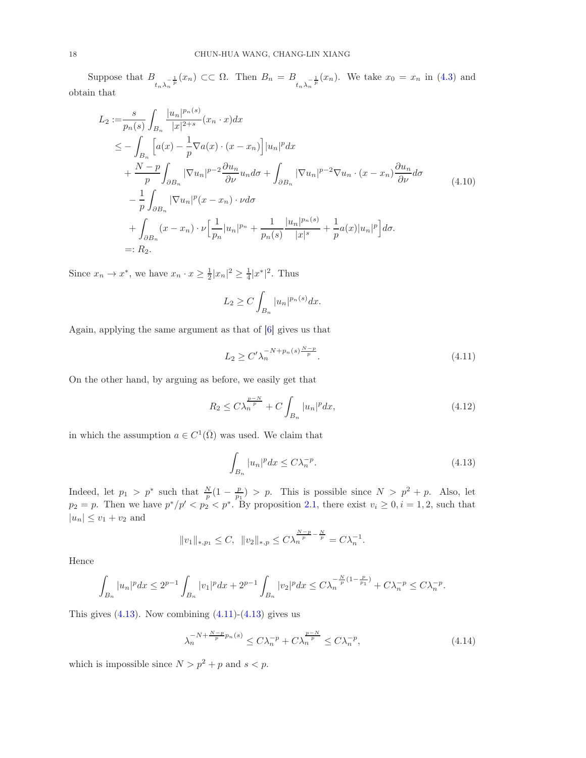Suppose that  $B_{t_n\lambda_n^{-\frac{1}{p}}}(x_n) \subset\subset \Omega$ . Then  $B_n = B_{t_n\lambda_n^{-\frac{1}{p}}}(x_n)$ . We take  $x_0 = x_n$  in [\(4.3\)](#page-15-0) and obtain that

$$
L_{2} := \frac{s}{p_{n}(s)} \int_{B_{n}} \frac{|u_{n}|^{p_{n}(s)}}{|x|^{2+s}} (x_{n} \cdot x) dx
$$
  
\n
$$
\leq - \int_{B_{n}} \left[ a(x) - \frac{1}{p} \nabla a(x) \cdot (x - x_{n}) \right] |u_{n}|^{p} dx
$$
  
\n
$$
+ \frac{N-p}{p} \int_{\partial B_{n}} |\nabla u_{n}|^{p-2} \frac{\partial u_{n}}{\partial \nu} u_{n} d\sigma + \int_{\partial B_{n}} |\nabla u_{n}|^{p-2} \nabla u_{n} \cdot (x - x_{n}) \frac{\partial u_{n}}{\partial \nu} d\sigma
$$
  
\n
$$
- \frac{1}{p} \int_{\partial B_{n}} |\nabla u_{n}|^{p} (x - x_{n}) \cdot \nu d\sigma
$$
  
\n
$$
+ \int_{\partial B_{n}} (x - x_{n}) \cdot \nu \left[ \frac{1}{p_{n}} |u_{n}|^{p_{n}} + \frac{1}{p_{n}(s)} \frac{|u_{n}|^{p_{n}(s)}}{|x|^{s}} + \frac{1}{p} a(x) |u_{n}|^{p} \right] d\sigma.
$$
  
\n=:  $R_{2}$ .

Since  $x_n \to x^*$ , we have  $x_n \cdot x \geq \frac{1}{2}|x_n|^2 \geq \frac{1}{4}|x^*|^2$ . Thus

$$
L_2 \ge C \int_{B_n} |u_n|^{p_n(s)} dx.
$$

Again, applying the same argument as that of [\[6\]](#page-26-9) gives us that

<span id="page-17-1"></span>
$$
L_2 \ge C' \lambda_n^{-N + p_n(s) \frac{N - p}{p}}.
$$
\n(4.11)

On the other hand, by arguing as before, we easily get that

$$
R_2 \le C\lambda_n^{\frac{p-N}{p}} + C \int_{B_n} |u_n|^p dx,
$$
\n(4.12)

in which the assumption  $a \in C^1(\overline{\Omega})$  was used. We claim that

<span id="page-17-0"></span>
$$
\int_{B_n} |u_n|^p dx \le C\lambda_n^{-p}.\tag{4.13}
$$

Indeed, let  $p_1 > p^*$  such that  $\frac{N}{p}(1 - \frac{p}{p_1}) > p$ . This is possible since  $N > p^2 + p$ . Also, let  $p_2 = p$ . Then we have  $p^*/p' < p_2 < p^*$ . By proposition [2.1,](#page-4-2) there exist  $v_i \geq 0, i = 1, 2$ , such that  $|u_n| \le v_1 + v_2$  and

$$
||v_1||_{*,p_1} \leq C, ||v_2||_{*,p} \leq C \lambda_n^{\frac{N-p}{p} - \frac{N}{p}} = C \lambda_n^{-1}.
$$

Hence

$$
\int_{B_n}|u_n|^pdx\leq 2^{p-1}\int_{B_n}|v_1|^pdx+2^{p-1}\int_{B_n}|v_2|^pdx\leq C\lambda_n^{-\frac{N}{p}(1-\frac{p}{p_1})}+C\lambda_n^{-p}\leq C\lambda_n^{-p}.
$$

This gives  $(4.13)$ . Now combining  $(4.11)-(4.13)$  gives us

<span id="page-17-2"></span>
$$
\lambda_n^{-N + \frac{N-p}{p}p_n(s)} \le C\lambda_n^{-p} + C\lambda_n^{\frac{p-N}{p}} \le C\lambda_n^{-p},\tag{4.14}
$$

which is impossible since  $N > p^2 + p$  and  $s < p$ .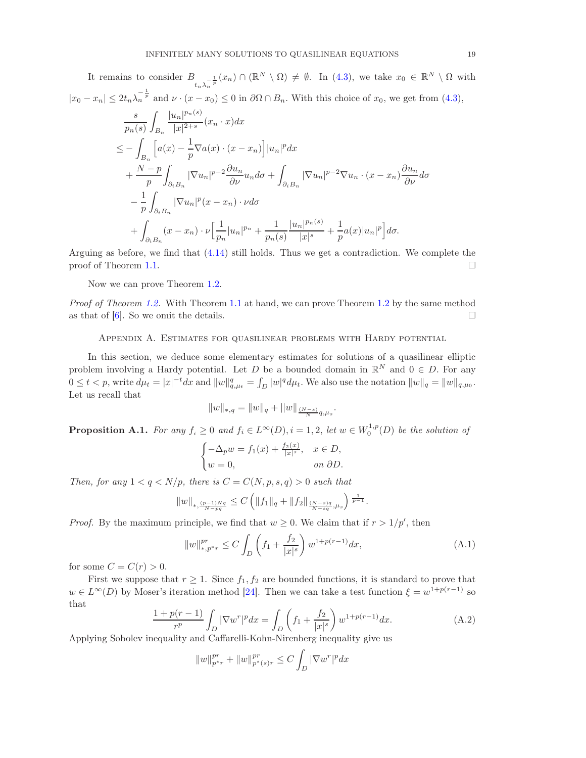It remains to consider  $B_{t_n\lambda_n^{-\frac{1}{p}}}(x_n) \cap (\mathbb{R}^N \setminus \Omega) \neq \emptyset$ . In [\(4.3\)](#page-15-0), we take  $x_0 \in \mathbb{R}^N \setminus \Omega$  with  $|x_0 - x_n| \leq 2t_n \lambda_n^{-\frac{1}{p}}$  and  $\nu \cdot (x - x_0) \leq 0$  in  $\partial \Omega \cap B_n$ . With this choice of  $x_0$ , we get from [\(4.3\)](#page-15-0),

$$
\frac{s}{p_n(s)} \int_{B_n} \frac{|u_n|^{p_n(s)}}{|x|^{2+s}} (x_n \cdot x) dx
$$
\n
$$
\leq - \int_{B_n} \left[ a(x) - \frac{1}{p} \nabla a(x) \cdot (x - x_n) \right] |u_n|^p dx
$$
\n
$$
+ \frac{N-p}{p} \int_{\partial_i B_n} |\nabla u_n|^{p-2} \frac{\partial u_n}{\partial \nu} u_n d\sigma + \int_{\partial_i B_n} |\nabla u_n|^{p-2} \nabla u_n \cdot (x - x_n) \frac{\partial u_n}{\partial \nu} d\sigma
$$
\n
$$
- \frac{1}{p} \int_{\partial_i B_n} |\nabla u_n|^p (x - x_n) \cdot \nu d\sigma
$$
\n
$$
+ \int_{\partial_i B_n} (x - x_n) \cdot \nu \Big[ \frac{1}{p_n} |u_n|^{p_n} + \frac{1}{p_n(s)} \frac{|u_n|^{p_n(s)}}{|x|^s} + \frac{1}{p} a(x) |u_n|^p \Big] d\sigma.
$$

Arguing as before, we find that [\(4.14\)](#page-17-2) still holds. Thus we get a contradiction. We complete the proof of Theorem [1.1.](#page-2-1)

Now we can prove Theorem [1.2.](#page-2-2)

<span id="page-18-0"></span>Proof of Theorem [1.2.](#page-2-2) With Theorem [1.1](#page-2-1) at hand, we can prove Theorem [1.2](#page-2-2) by the same method as that of [\[6\]](#page-26-9). So we omit the details.

Appendix A. Estimates for quasilinear problems with Hardy potential

In this section, we deduce some elementary estimates for solutions of a quasilinear elliptic problem involving a Hardy potential. Let D be a bounded domain in  $\mathbb{R}^N$  and  $0 \in D$ . For any  $0 \leq t < p$ , write  $d\mu_t = |x|^{-t} dx$  and  $||w||_{q,\mu_t}^q = \int_D |w|^q d\mu_t$ . We also use the notation  $||w||_q = ||w||_{q,\mu_0}$ . Let us recall that

$$
||w||_{*,q} = ||w||_q + ||w||_{\frac{(N-s)}{N}q,\mu_s}
$$

<span id="page-18-1"></span>**Proposition A.1.** For any  $f_i \geq 0$  and  $f_i \in L^{\infty}(D)$ ,  $i = 1, 2$ , let  $w \in W_0^{1,p}(D)$  be the solution of

$$
\begin{cases}\n-\Delta_p w = f_1(x) + \frac{f_2(x)}{|x|^s}, & x \in D, \\
w = 0, & \text{on } \partial D.\n\end{cases}
$$

Then, for any  $1 < q < N/p$ , there is  $C = C(N, p, s, q) > 0$  such that

$$
||w||_{*,\frac{(p-1)Nq}{N-pq}} \leq C \left( ||f_1||_q + ||f_2||_{\frac{(N-s)q}{N-sq},\mu_s} \right)^{\frac{1}{p-1}}.
$$

*Proof.* By the maximum principle, we find that  $w \geq 0$ . We claim that if  $r > 1/p'$ , then

<span id="page-18-3"></span>
$$
||w||_{*,p^*r}^{pr} \le C \int_D \left(f_1 + \frac{f_2}{|x|^s}\right) w^{1+p(r-1)} dx,
$$
\n(A.1)

.

for some  $C = C(r) > 0$ .

First we suppose that  $r \geq 1$ . Since  $f_1, f_2$  are bounded functions, it is standard to prove that  $w \in L^{\infty}(D)$  by Moser's iteration method [\[24\]](#page-26-23). Then we can take a test function  $\xi = w^{1+p(r-1)}$  so that

<span id="page-18-2"></span>
$$
\frac{1+p(r-1)}{r^p} \int_D |\nabla w^r|^p dx = \int_D \left( f_1 + \frac{f_2}{|x|^s} \right) w^{1+p(r-1)} dx.
$$
 (A.2)

Applying Sobolev inequality and Caffarelli-Kohn-Nirenberg inequality give us

$$
||w||_{p^*r}^{pr} + ||w||_{p^*(s)r}^{pr} \le C \int_D |\nabla w^r|^p dx
$$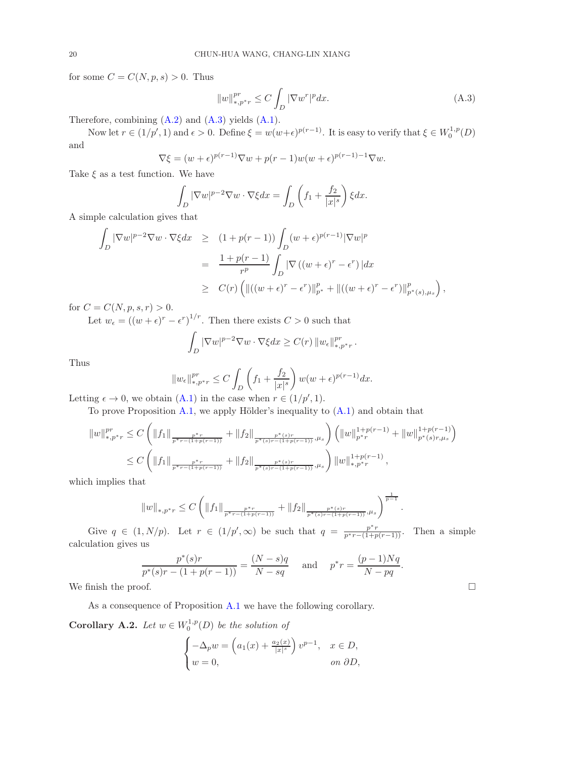for some  $C = C(N, p, s) > 0$ . Thus

<span id="page-19-1"></span>
$$
||w||_{*,p^*r}^{pr} \le C \int_D |\nabla w^r|^p dx. \tag{A.3}
$$

Therefore, combining [\(A.2\)](#page-18-2) and [\(A.3\)](#page-19-1) yields [\(A.1\)](#page-18-3).

Now let  $r \in (1/p', 1)$  and  $\epsilon > 0$ . Define  $\xi = w(w+\epsilon)^{p(r-1)}$ . It is easy to verify that  $\xi \in W_0^{1,p}(D)$ and

$$
\nabla \xi = (w + \epsilon)^{p(r-1)} \nabla w + p(r-1) w(w + \epsilon)^{p(r-1)-1} \nabla w.
$$

Take  $\xi$  as a test function. We have

$$
\int_{D} |\nabla w|^{p-2} \nabla w \cdot \nabla \xi dx = \int_{D} \left( f_1 + \frac{f_2}{|x|^s} \right) \xi dx.
$$

A simple calculation gives that

$$
\int_{D} |\nabla w|^{p-2} \nabla w \cdot \nabla \xi dx \ge (1 + p(r - 1)) \int_{D} (w + \epsilon)^{p(r-1)} |\nabla w|^{p}
$$
  

$$
= \frac{1 + p(r - 1)}{r^{p}} \int_{D} |\nabla ((w + \epsilon)^{r} - \epsilon^{r})| dx
$$
  

$$
\ge C(r) \left( \| ((w + \epsilon)^{r} - \epsilon^{r}) \|_{p^{*}}^{p} + \| ((w + \epsilon)^{r} - \epsilon^{r}) \|_{p^{*}(s), \mu_{s}}^{p} \right),
$$

for  $C = C(N, p, s, r) > 0$ .

Let  $w_{\epsilon} = ((w + \epsilon)^r - \epsilon^r)^{1/r}$ . Then there exists  $C > 0$  such that

$$
\int_D |\nabla w|^{p-2} \nabla w \cdot \nabla \xi dx \ge C(r) \|w_{\epsilon}\|_{*,p^*r}^p.
$$

Thus

$$
||w_{\epsilon}||_{*,p^*r}^{pr} \le C \int_D \left(f_1 + \frac{f_2}{|x|^s}\right) w(w+\epsilon)^{p(r-1)} dx.
$$

Letting  $\epsilon \to 0$ , we obtain  $(A.1)$  in the case when  $r \in (1/p', 1)$ .

To prove Proposition [A.1,](#page-18-1) we apply Hölder's inequality to [\(A.1\)](#page-18-3) and obtain that

$$
||w||_{*,p^*r}^{pr} \leq C \left( ||f_1||_{\frac{p^*r}{p^*r - (1+p(r-1))}} + ||f_2||_{\frac{p^*(s)r}{p^*(s)r - (1+p(r-1))},\mu_s} \right) \left( ||w||_{p^*r}^{1+p(r-1)} + ||w||_{p^*(s)r,\mu_s}^{1+p(r-1)} \right)
$$
  

$$
\leq C \left( ||f_1||_{\frac{p^*r}{p^*r - (1+p(r-1))}} + ||f_2||_{\frac{p^*(s)r}{p^*(s)r - (1+p(r-1))},\mu_s} \right) ||w||_{*,p^*r}^{1+p(r-1)},
$$

which implies that

$$
||w||_{*,p^*r} \leq C \left( ||f_1||_{p^*r - (1+p(r-1))} + ||f_2||_{p^*(s)r - (1+p(r-1))} \right)^{\frac{1}{p-1}}
$$

Give  $q \in (1, N/p)$ . Let  $r \in (1/p', \infty)$  be such that  $q = \frac{p^*r}{p^*r - (1+p(r-1))}$ . Then a simple calculation gives us

$$
\frac{p^*(s)r}{p^*(s)r - (1 + p(r-1))} = \frac{(N-s)q}{N-sq} \quad \text{and} \quad p^*r = \frac{(p-1)Nq}{N-pq}.
$$
  
We finish the proof.

As a consequence of Proposition [A.1](#page-18-1) we have the following corollary.

<span id="page-19-0"></span>**Corollary A.2.** Let  $w \in W_0^{1,p}(D)$  be the solution of

$$
\begin{cases}\n-\Delta_p w = \left(a_1(x) + \frac{a_2(x)}{|x|^s}\right)v^{p-1}, & x \in D, \\
w = 0, & \text{on } \partial D,\n\end{cases}
$$

.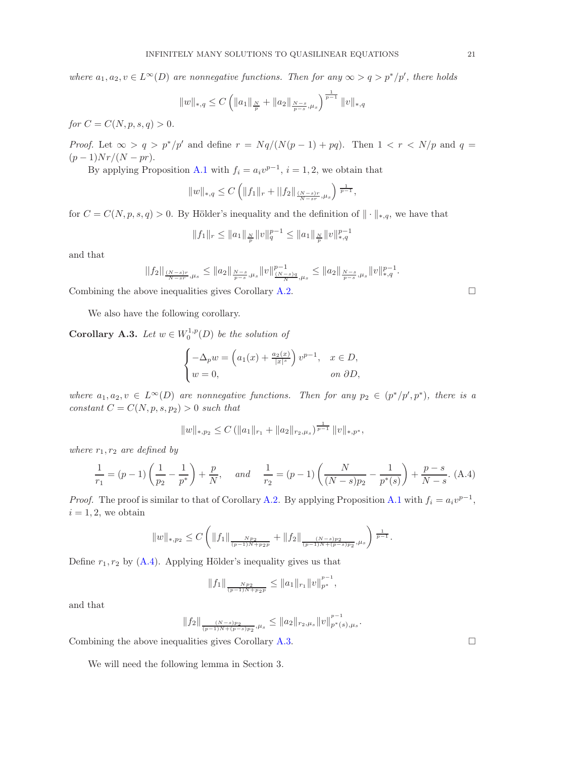where  $a_1, a_2, v \in L^{\infty}(D)$  are nonnegative functions. Then for any  $\infty > q > p^*/p'$ , there holds

$$
||w||_{*,q} \leq C \left( ||a_1||_{\frac{N}{p}} + ||a_2||_{\frac{N-s}{p-s},\mu_s} \right)^{\frac{1}{p-1}} ||v||_{*,q}
$$

for  $C = C(N, p, s, q) > 0$ .

*Proof.* Let  $\infty > q > p^*/p'$  and define  $r = Nq/(N(p-1)+pq)$ . Then  $1 < r < N/p$  and  $q =$  $(p-1)Nr/(N-pr)$ .

By applying Proposition [A.1](#page-18-1) with  $f_i = a_i v^{p-1}$ ,  $i = 1, 2$ , we obtain that

$$
||w||_{*,q} \leq C \left( ||f_1||_r + ||f_2||_{\frac{(N-s)r}{N-sr},\mu_s} \right)^{\frac{1}{p-1}},
$$

for  $C = C(N, p, s, q) > 0$ . By Hölder's inequality and the definition of  $\|\cdot\|_{*,q}$ , we have that

$$
||f_1||_r\leq ||a_1||_{\frac{N}{p}}||v||_q^{p-1}\leq ||a_1||_{\frac{N}{p}}||v||_{*,q}^{p-1}
$$

and that

$$
||f_2||_{\frac{(N-s)r}{N-sr},\mu_s} \le ||a_2||_{\frac{N-s}{p-s},\mu_s} ||v||_{\frac{(N-s)q}{N},\mu_s}^{p-1} \le ||a_2||_{\frac{N-s}{p-s},\mu_s} ||v||_{*,q}^{p-1}.
$$

Combining the above inequalities gives Corollary  $A.2$ .

We also have the following corollary.

<span id="page-20-0"></span>**Corollary A.3.** Let  $w \in W_0^{1,p}(D)$  be the solution of

$$
\begin{cases}\n-\Delta_p w = \left(a_1(x) + \frac{a_2(x)}{|x|^s}\right)v^{p-1}, & x \in D, \\
w = 0, & \text{on } \partial D,\n\end{cases}
$$

where  $a_1, a_2, v \in L^{\infty}(D)$  are nonnegative functions. Then for any  $p_2 \in (p^*/p', p^*)$ , there is a constant  $C = C(N, p, s, p_2) > 0$  such that

$$
||w||_{*,p_2} \leq C (||a_1||_{r_1} + ||a_2||_{r_2,\mu_s})^{\frac{1}{p-1}} ||v||_{*,p^*},
$$

where  $r_1, r_2$  are defined by

<span id="page-20-1"></span>
$$
\frac{1}{r_1} = (p-1)\left(\frac{1}{p_2} - \frac{1}{p^*}\right) + \frac{p}{N}, \quad \text{and} \quad \frac{1}{r_2} = (p-1)\left(\frac{N}{(N-s)p_2} - \frac{1}{p^*(s)}\right) + \frac{p-s}{N-s}.\tag{A.4}
$$

*Proof.* The proof is similar to that of Corollary [A.2.](#page-19-0) By applying Proposition [A.1](#page-18-1) with  $f_i = a_i v^{p-1}$ ,  $i = 1, 2$ , we obtain

$$
||w||_{*,p_2} \leq C \left( ||f_1||_{\frac{Np_2}{(p-1)N+p_2p}} + ||f_2||_{\frac{(N-s)p_2}{(p-1)N+(p-s)p_2},\mu_s} \right)^{\frac{1}{p-1}}.
$$

Define  $r_1, r_2$  by  $(A.4)$ . Applying Hölder's inequality gives us that

$$
||f_1||_{\frac{Np_2}{(p-1)N+p_2p}} \leq ||a_1||_{r_1} ||v||_{p^*}^{p-1},
$$

and that

$$
||f_2||_{\frac{(N-s)p_2}{(p-1)N+(p-s)p_2},\mu_s} \leq ||a_2||_{r_2,\mu_s} ||v||_{p^*(s),\mu_s}^{p-1}
$$

.

Combining the above inequalities gives Corollary  $A.3$ .

We will need the following lemma in Section 3.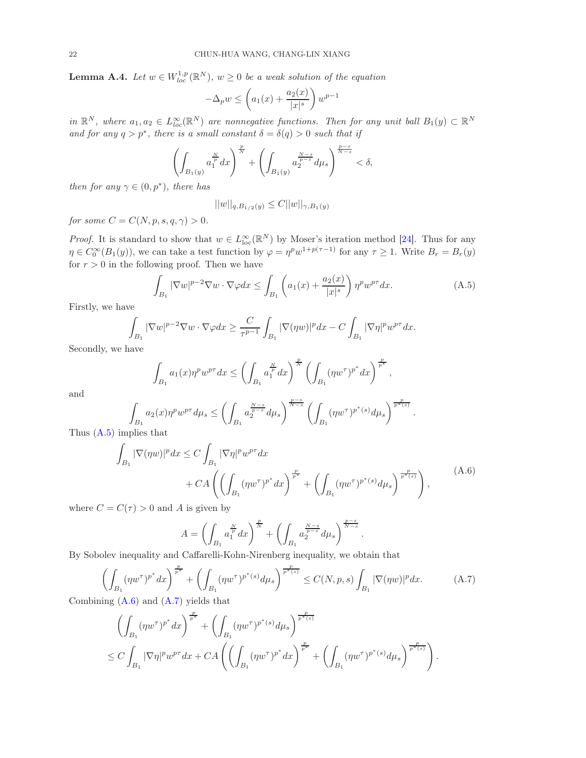<span id="page-21-0"></span>**Lemma A.4.** Let  $w \in W_{loc}^{1,p}(\mathbb{R}^N)$ ,  $w \geq 0$  be a weak solution of the equation

$$
-\Delta_p w \le \left(a_1(x) + \frac{a_2(x)}{|x|^s}\right)w^{p-1}
$$

in  $\mathbb{R}^N$ , where  $a_1, a_2 \in L^{\infty}_{loc}(\mathbb{R}^N)$  are nonnegative functions. Then for any unit ball  $B_1(y) \subset \mathbb{R}^N$ and for any  $q > p^*$ , there is a small constant  $\delta = \delta(q) > 0$  such that if

$$
\left(\int_{B_1(y)} a_1^{\frac{N}{p}} dx\right)^{\frac{p}{N}} + \left(\int_{B_1(y)} a_2^{\frac{N-s}{p-s}} d\mu_s\right)^{\frac{p-s}{N-s}} < \delta,
$$

then for any  $\gamma \in (0, p^*)$ , there has

$$
||w||_{q, B_{1/2}(y)} \leq C||w||_{\gamma, B_1(y)}
$$

for some  $C = C(N, p, s, q, \gamma) > 0$ .

*Proof.* It is standard to show that  $w \in L^{\infty}_{loc}(\mathbb{R}^{N})$  by Moser's iteration method [\[24\]](#page-26-23). Thus for any  $\eta \in C_0^{\infty}(B_1(y))$ , we can take a test function by  $\varphi = \eta^p w^{1+p(\tau-1)}$  for any  $\tau \ge 1$ . Write  $B_r = B_r(y)$ for  $r > 0$  in the following proof. Then we have

<span id="page-21-1"></span>
$$
\int_{B_1} |\nabla w|^{p-2} \nabla w \cdot \nabla \varphi dx \le \int_{B_1} \left( a_1(x) + \frac{a_2(x)}{|x|^s} \right) \eta^p w^{p\tau} dx. \tag{A.5}
$$

.

Firstly, we have

$$
\int_{B_1} |\nabla w|^{p-2} \nabla w \cdot \nabla \varphi dx \ge \frac{C}{\tau^{p-1}} \int_{B_1} |\nabla (\eta w)|^p dx - C \int_{B_1} |\nabla \eta|^p w^{p\tau} dx.
$$

Secondly, we have

$$
\int_{B_1} a_1(x) \eta^p w^{p\tau} dx \le \left( \int_{B_1} a_1^{\frac{N}{p}} dx \right)^{\frac{p}{N}} \left( \int_{B_1} (\eta w^{\tau})^{p^*} dx \right)^{\frac{p}{p^*}},
$$

and

$$
\int_{B_1} a_2(x) \eta^p w^{p\tau} d\mu_s \le \left( \int_{B_1} a_2^{\frac{N-s}{p-s}} d\mu_s \right)^{\frac{p-s}{N-s}} \left( \int_{B_1} (\eta w^{\tau})^{p^*(s)} d\mu_s \right)^{\frac{p}{p^*(s)}}
$$
   
plies that

Thus  $(A.5)$  imp

<span id="page-21-2"></span>
$$
\int_{B_1} |\nabla(\eta w)|^p dx \le C \int_{B_1} |\nabla \eta|^p w^{p\tau} dx \n+ CA \left( \left( \int_{B_1} (\eta w^{\tau})^{p^*} dx \right)^{\frac{p}{p^*}} + \left( \int_{B_1} (\eta w^{\tau})^{p^*(s)} d\mu_s \right)^{\frac{p}{p^*(s)}} \right),
$$
\n(A.6)

where  $C = C(\tau) > 0$  and A is given by

$$
A = \left(\int_{B_1} a_1^{\frac{N}{p}} dx\right)^{\frac{p}{N}} + \left(\int_{B_1} a_2^{\frac{N-s}{p-s}} d\mu_s\right)^{\frac{p-s}{N-s}}.
$$

By Sobolev inequality and Caffarelli-Kohn-Nirenberg inequality, we obtain that

<span id="page-21-3"></span>
$$
\left(\int_{B_1} (\eta w^\tau)^{p^*} dx\right)^{\frac{p}{p^*}} + \left(\int_{B_1} (\eta w^\tau)^{p^*(s)} d\mu_s\right)^{\frac{p}{p^*(s)}} \le C(N, p, s) \int_{B_1} |\nabla(\eta w)|^p dx.
$$
\n(A.7)

Combining [\(A.6\)](#page-21-2) and [\(A.7\)](#page-21-3) yields that

$$
\left(\int_{B_1} (\eta w^{\tau})^{p^*} dx\right)^{\frac{p}{p^*}} + \left(\int_{B_1} (\eta w^{\tau})^{p^*(s)} d\mu_s\right)^{\frac{p}{p^*(s)}}
$$
  
\n
$$
\leq C \int_{B_1} |\nabla \eta|^p w^{p\tau} dx + C A \left(\left(\int_{B_1} (\eta w^{\tau})^{p^*} dx\right)^{\frac{p}{p^*}} + \left(\int_{B_1} (\eta w^{\tau})^{p^*(s)} d\mu_s\right)^{\frac{p}{p^*(s)}}\right).
$$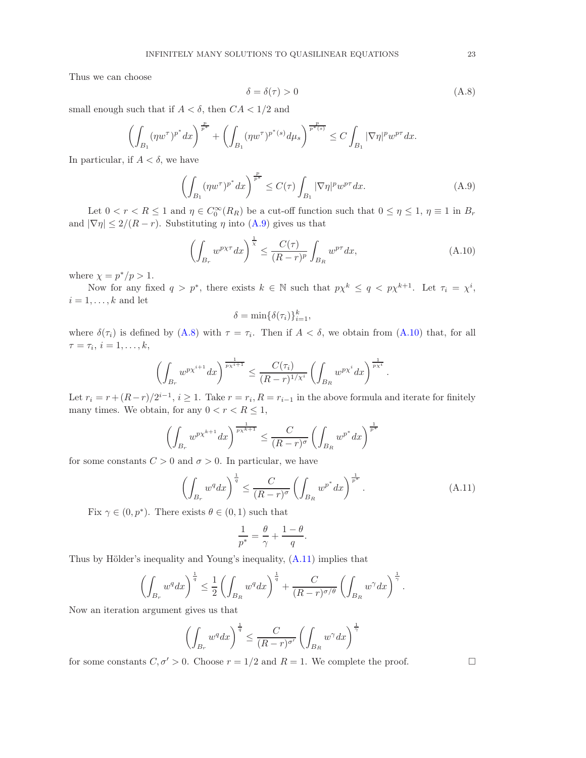Thus we can choose

<span id="page-22-1"></span>
$$
\delta = \delta(\tau) > 0 \tag{A.8}
$$

small enough such that if  $A < \delta$ , then  $CA < 1/2$  and

$$
\left(\int_{B_1} (\eta w^\tau)^{p^*} dx\right)^{\frac{p}{p^*}} + \left(\int_{B_1} (\eta w^\tau)^{p^*(s)} d\mu_s\right)^{\frac{p}{p^*(s)}} \le C \int_{B_1} |\nabla \eta|^p w^{p\tau} dx.
$$

In particular, if  $A < \delta$ , we have

<span id="page-22-0"></span>
$$
\left(\int_{B_1} (\eta w^\tau)^{p^*} dx\right)^{\frac{p}{p^*}} \le C(\tau) \int_{B_1} |\nabla \eta|^p w^{p\tau} dx. \tag{A.9}
$$

Let  $0 < r < R \leq 1$  and  $\eta \in C_0^{\infty}(R_R)$  be a cut-off function such that  $0 \leq \eta \leq 1$ ,  $\eta \equiv 1$  in  $B_r$ and  $|\nabla \eta| \leq 2/(R-r)$ . Substituting  $\eta$  into [\(A.9\)](#page-22-0) gives us that

<span id="page-22-2"></span>
$$
\left(\int_{B_r} w^{p\chi\tau} dx\right)^{\frac{1}{\chi}} \le \frac{C(\tau)}{(R-r)^p} \int_{B_R} w^{p\tau} dx,
$$
\n(A.10)

where  $\chi = p^*/p > 1$ .

Now for any fixed  $q > p^*$ , there exists  $k \in \mathbb{N}$  such that  $p\chi^k \leq q < p\chi^{k+1}$ . Let  $\tau_i = \chi^i$ ,  $i = 1, \ldots, k$  and let

$$
\delta = \min\{\delta(\tau_i)\}_{i=1}^k,
$$

where  $\delta(\tau_i)$  is defined by [\(A.8\)](#page-22-1) with  $\tau = \tau_i$ . Then if  $A < \delta$ , we obtain from [\(A.10\)](#page-22-2) that, for all  $\tau = \tau_i, i = 1, \ldots, k,$ 

$$
\left(\int_{B_r} w^{p\chi^{i+1}} dx\right)^{\frac{1}{p\chi^{i+1}}} \leq \frac{C(\tau_i)}{(R-r)^{1/\chi^i}} \left(\int_{B_R} w^{p\chi^i} dx\right)^{\frac{1}{p\chi^i}}.
$$

Let  $r_i = r + (R-r)/2^{i-1}$ ,  $i \ge 1$ . Take  $r = r_i$ ,  $R = r_{i-1}$  in the above formula and iterate for finitely many times. We obtain, for any  $0 < r < R \leq 1$ ,

$$
\left(\int_{B_r} w^{p\chi^{k+1}} dx\right)^{\frac{1}{p\chi^{k+1}}} \leq \frac{C}{(R-r)^{\sigma}} \left(\int_{B_R} w^{p^*} dx\right)^{\frac{1}{p^*}}
$$

for some constants  $C > 0$  and  $\sigma > 0$ . In particular, we have

<span id="page-22-3"></span>
$$
\left(\int_{B_r} w^q dx\right)^{\frac{1}{q}} \le \frac{C}{(R-r)^\sigma} \left(\int_{B_R} w^{p^*} dx\right)^{\frac{1}{p^*}}.
$$
\n(A.11)

Fix  $\gamma \in (0, p^*)$ . There exists  $\theta \in (0, 1)$  such that

$$
\frac{1}{p^*} = \frac{\theta}{\gamma} + \frac{1-\theta}{q}.
$$

Thus by Hölder's inequality and Young's inequality, [\(A.11\)](#page-22-3) implies that

$$
\left(\int_{B_r} w^q dx\right)^{\frac{1}{q}} \leq \frac{1}{2} \left(\int_{B_R} w^q dx\right)^{\frac{1}{q}} + \frac{C}{(R-r)^{\sigma/\theta}} \left(\int_{B_R} w^{\gamma} dx\right)^{\frac{1}{\gamma}}.
$$

Now an iteration argument gives us that

$$
\left(\int_{B_r} w^q dx\right)^{\frac{1}{q}} \le \frac{C}{(R-r)^{\sigma'}} \left(\int_{B_R} w^{\gamma} dx\right)^{\frac{1}{\gamma}}
$$

for some constants  $C, \sigma' > 0$ . Choose  $r = 1/2$  and  $R = 1$ . We complete the proof.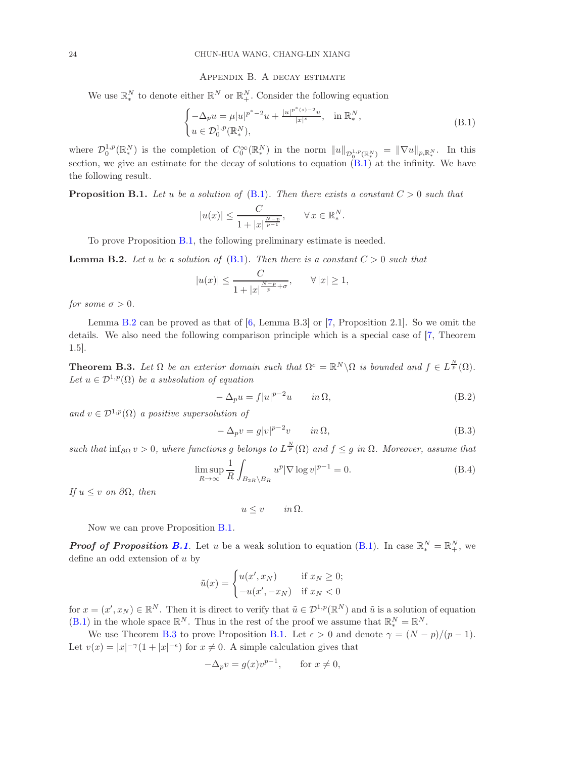#### Appendix B. A decay estimate

<span id="page-23-0"></span>We use  $\mathbb{R}_{*}^{N}$  to denote either  $\mathbb{R}_{*}^{N}$  or  $\mathbb{R}_{+}^{N}$ . Consider the following equation

<span id="page-23-2"></span>
$$
\begin{cases}\n-\Delta_p u = \mu |u|^{p^*-2} u + \frac{|u|^{p^*(s)-2} u}{|x|^s}, & \text{in } \mathbb{R}_*^N, \\
u \in \mathcal{D}_0^{1,p}(\mathbb{R}_*^N),\n\end{cases} \tag{B.1}
$$

.

where  $\mathcal{D}_0^{1,p}(\mathbb{R}_*^N)$  is the completion of  $C_0^{\infty}(\mathbb{R}_*^N)$  in the norm  $||u||_{\mathcal{D}_0^{1,p}(\mathbb{R}_*^N)} = ||\nabla u||_{p,\mathbb{R}_*^N}$ . In this section, we give an estimate for the decay of solutions to equation  $(B.1)$  at the infinity. We have the following result.

<span id="page-23-1"></span>**Proposition B.1.** Let u be a solution of [\(B.1\)](#page-23-2). Then there exists a constant  $C > 0$  such that

$$
|u(x)| \le \frac{C}{1+|x|^{\frac{N-p}{p-1}}}, \qquad \forall x \in \mathbb{R}_*^N
$$

To prove Proposition [B.1,](#page-23-1) the following preliminary estimate is needed.

<span id="page-23-3"></span>**Lemma B.2.** Let u be a solution of  $(B.1)$ . Then there is a constant  $C > 0$  such that

$$
|u(x)| \le \frac{C}{1+|x|^{\frac{N-p}{p}+\sigma}}, \qquad \forall |x| \ge 1,
$$

for some  $\sigma > 0$ .

Lemma [B.2](#page-23-3) can be proved as that of [\[6,](#page-26-9) Lemma B.3] or [\[7,](#page-26-24) Proposition 2.1]. So we omit the details. We also need the following comparison principle which is a special case of [\[7,](#page-26-24) Theorem 1.5].

<span id="page-23-4"></span>**Theorem B.3.** Let  $\Omega$  be an exterior domain such that  $\Omega^c = \mathbb{R}^N \setminus \Omega$  is bounded and  $f \in L^{\frac{N}{p}}(\Omega)$ . Let  $u \in \mathcal{D}^{1,p}(\Omega)$  be a subsolution of equation

$$
-\Delta_p u = f|u|^{p-2}u \qquad in \Omega,
$$
\n(B.2)

and  $v \in \mathcal{D}^{1,p}(\Omega)$  a positive supersolution of

$$
-\Delta_p v = g|v|^{p-2}v \qquad in \Omega,
$$
\n(B.3)

such that  $\inf_{\partial \Omega} v > 0$ , where functions g belongs to  $L^{\frac{N}{p}}(\Omega)$  and  $f \leq g$  in  $\Omega$ . Moreover, assume that

<span id="page-23-5"></span>
$$
\limsup_{R \to \infty} \frac{1}{R} \int_{B_{2R} \backslash B_R} u^p |\nabla \log v|^{p-1} = 0.
$$
 (B.4)

If  $u \leq v$  on  $\partial \Omega$ , then

$$
u \le v \qquad in \, \Omega.
$$

Now we can prove Proposition [B.1.](#page-23-1)

**Proof of Proposition [B.1](#page-23-1)**. Let u be a weak solution to equation [\(B.1\)](#page-23-2). In case  $\mathbb{R}^N_* = \mathbb{R}^N_+$ , we define an odd extension of u by

$$
\tilde{u}(x) = \begin{cases} u(x', x_N) & \text{if } x_N \ge 0; \\ -u(x', -x_N) & \text{if } x_N < 0 \end{cases}
$$

for  $x = (x', x_N) \in \mathbb{R}^N$ . Then it is direct to verify that  $\tilde{u} \in \mathcal{D}^{1,p}(\mathbb{R}^N)$  and  $\tilde{u}$  is a solution of equation [\(B.1\)](#page-23-2) in the whole space  $\mathbb{R}^N$ . Thus in the rest of the proof we assume that  $\mathbb{R}^N_* = \mathbb{R}^N$ .

We use Theorem [B.3](#page-23-4) to prove Proposition [B.1.](#page-23-1) Let  $\epsilon > 0$  and denote  $\gamma = (N - p)/(p - 1)$ . Let  $v(x) = |x|^{-\gamma} (1 + |x|^{-\epsilon})$  for  $x \neq 0$ . A simple calculation gives that

$$
-\Delta_p v = g(x)v^{p-1}, \quad \text{for } x \neq 0,
$$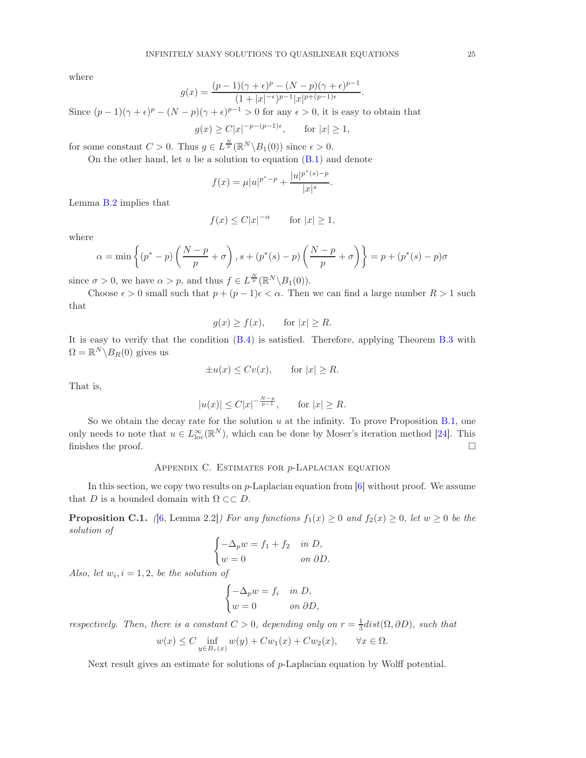where

$$
g(x) = \frac{(p-1)(\gamma + \epsilon)^p - (N-p)(\gamma + \epsilon)^{p-1}}{(1+|x|^{-\epsilon})^{p-1}|x|^{p+(p-1)\epsilon}}
$$

.

Since  $(p-1)(\gamma + \epsilon)^p - (N-p)(\gamma + \epsilon)^{p-1} > 0$  for any  $\epsilon > 0$ , it is easy to obtain that

$$
g(x) \ge C|x|^{-p-(p-1)\epsilon}, \quad \text{for } |x| \ge 1,
$$

for some constant  $C > 0$ . Thus  $g \in L^{\frac{N}{p}}(\mathbb{R}^N \backslash B_1(0))$  since  $\epsilon > 0$ .

On the other hand, let  $u$  be a solution to equation  $(B.1)$  and denote

$$
f(x) = \mu |u|^{p^* - p} + \frac{|u|^{p^*(s) - p}}{|x|^s}.
$$

Lemma [B.2](#page-23-3) implies that

$$
f(x) \le C|x|^{-\alpha} \qquad \text{for } |x| \ge 1,
$$

where

$$
\alpha = \min\left\{ (p^* - p) \left( \frac{N-p}{p} + \sigma \right), s + (p^*(s) - p) \left( \frac{N-p}{p} + \sigma \right) \right\} = p + (p^*(s) - p)\sigma
$$

since  $\sigma > 0$ , we have  $\alpha > p$ , and thus  $f \in L^{\frac{N}{p}}(\mathbb{R}^N \setminus B_1(0)).$ 

Choose  $\epsilon > 0$  small such that  $p + (p - 1)\epsilon < \alpha$ . Then we can find a large number  $R > 1$  such that

$$
g(x) \ge f(x), \quad \text{for } |x| \ge R.
$$

It is easy to verify that the condition [\(B.4\)](#page-23-5) is satisfied. Therefore, applying Theorem [B.3](#page-23-4) with  $\Omega = \mathbb{R}^N \backslash B_R(0)$  gives us

$$
\pm u(x) \le Cv(x), \qquad \text{for } |x| \ge R.
$$

That is,

$$
|u(x)| \leq C|x|^{-\frac{N-p}{p-1}},
$$
 for  $|x| \geq R$ .

So we obtain the decay rate for the solution  $u$  at the infinity. To prove Proposition [B.1,](#page-23-1) one only needs to note that  $u \in L^{\infty}_{loc}(\mathbb{R}^N)$ , which can be done by Moser's iteration method [\[24\]](#page-26-23). This finishes the proof.  $\Box$ 

## Appendix C. Estimates for p-Laplacian equation

<span id="page-24-0"></span>In this section, we copy two results on p-Laplacian equation from [\[6\]](#page-26-9) without proof. We assume that D is a bounded domain with  $\Omega \subset\subset D$ .

<span id="page-24-1"></span>**Proposition C.1.** ([\[6,](#page-26-9) Lemma 2.2]) For any functions  $f_1(x) \ge 0$  and  $f_2(x) \ge 0$ , let  $w \ge 0$  be the solution of

$$
\begin{cases}\n-\Delta_p w = f_1 + f_2 & \text{in } D, \\
w = 0 & \text{on } \partial D.\n\end{cases}
$$

Also, let  $w_i$ ,  $i = 1, 2$ , be the solution of

$$
\begin{cases}\n-\Delta_p w = f_i & \text{in } D, \\
w = 0 & \text{on } \partial D,\n\end{cases}
$$

respectively. Then, there is a constant  $C > 0$ , depending only on  $r = \frac{1}{3} dist(\Omega, \partial D)$ , such that

$$
w(x) \le C \inf_{y \in B_r(x)} w(y) + C w_1(x) + C w_2(x), \qquad \forall x \in \Omega.
$$

Next result gives an estimate for solutions of p-Laplacian equation by Wolff potential.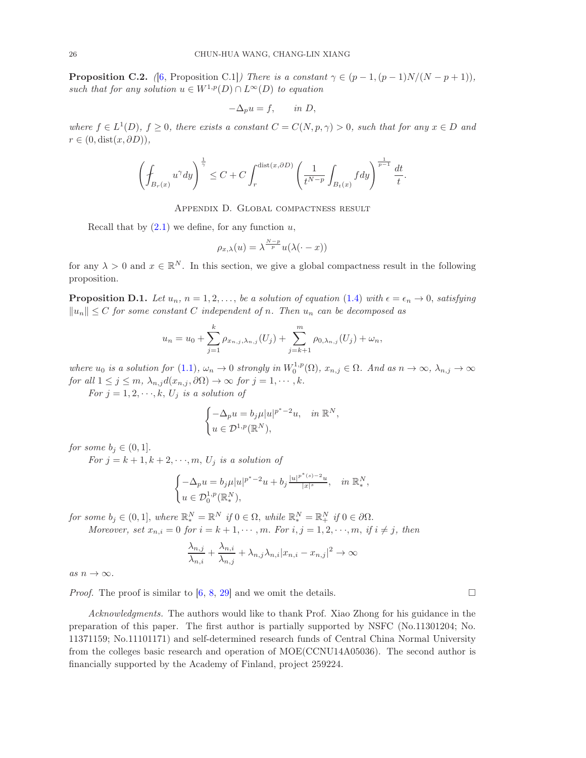<span id="page-25-2"></span>**Proposition C.2.** ([\[6,](#page-26-9) Proposition C.1]) There is a constant  $\gamma \in (p-1,(p-1)N/(N-p+1)),$ such that for any solution  $u \in W^{1,p}(D) \cap L^{\infty}(D)$  to equation

$$
-\Delta_p u = f, \qquad \text{in } D,
$$

where  $f \in L^1(D)$ ,  $f \geq 0$ , there exists a constant  $C = C(N, p, \gamma) > 0$ , such that for any  $x \in D$  and  $r \in (0, dist(x, \partial D)),$ 

$$
\left(\oint_{B_r(x)} u^{\gamma} dy\right)^{\frac{1}{\gamma}} \leq C + C \int_r^{\text{dist}(x,\partial D)} \left(\frac{1}{t^{N-p}} \int_{B_t(x)} f dy\right)^{\frac{1}{p-1}} \frac{dt}{t}.
$$

Appendix D. Global compactness result

<span id="page-25-0"></span>Recall that by  $(2.1)$  we define, for any function u,

$$
\rho_{x,\lambda}(u) = \lambda^{\frac{N-p}{p}} u(\lambda(\cdot - x))
$$

for any  $\lambda > 0$  and  $x \in \mathbb{R}^N$ . In this section, we give a global compactness result in the following proposition.

<span id="page-25-1"></span>**Proposition D.1.** Let  $u_n$ ,  $n = 1, 2, \ldots$ , be a solution of equation [\(1.4\)](#page-1-1) with  $\epsilon = \epsilon_n \to 0$ , satisfying  $||u_n|| \leq C$  for some constant C independent of n. Then  $u_n$  can be decomposed as

$$
u_n = u_0 + \sum_{j=1}^k \rho_{x_{n,j},\lambda_{n,j}}(U_j) + \sum_{j=k+1}^m \rho_{0,\lambda_{n,j}}(U_j) + \omega_n,
$$

where  $u_0$  is a solution for  $(1.1)$ ,  $\omega_n \to 0$  strongly in  $W_0^{1,p}(\Omega)$ ,  $x_{n,j} \in \Omega$ . And as  $n \to \infty$ ,  $\lambda_{n,j} \to \infty$ for all  $1 \leq j \leq m$ ,  $\lambda_{n,j}d(x_{n,j},\partial\Omega) \to \infty$  for  $j = 1, \cdots, k$ .

For  $j = 1, 2, \dots, k$ ,  $U_j$  is a solution of

$$
\begin{cases}\n-\Delta_p u = b_j \mu |u|^{p^*-2} u, & \text{in } \mathbb{R}^N, \\
u \in \mathcal{D}^{1,p}(\mathbb{R}^N),\n\end{cases}
$$

for some  $b_i \in (0,1]$ .

For  $j = k + 1, k + 2, \dots, m, U_j$  is a solution of

$$
\begin{cases}\n-\Delta_p u = b_j \mu |u|^{p^*-2} u + b_j \frac{|u|^{p^*(s)-2} u}{|x|^s}, & \text{in } \mathbb{R}^N_*, \\
u \in \mathcal{D}_0^{1,p}(\mathbb{R}^N_*)\n\end{cases}
$$

for some  $b_j \in (0,1]$ , where  $\mathbb{R}^N_* = \mathbb{R}^N$  if  $0 \in \Omega$ , while  $\mathbb{R}^N_* = \mathbb{R}^N_+$  if  $0 \in \partial\Omega$ .

Moreover, set  $x_{n,i} = 0$  for  $i = k + 1, \dots, m$ . For  $i, j = 1, 2, \dots, m$ , if  $i \neq j$ , then

$$
\frac{\lambda_{n,j}}{\lambda_{n,i}} + \frac{\lambda_{n,i}}{\lambda_{n,j}} + \lambda_{n,j}\lambda_{n,i}|x_{n,i} - x_{n,j}|^2 \to \infty
$$

as  $n \to \infty$ .

*Proof.* The proof is similar to  $[6, 8, 29]$  $[6, 8, 29]$  $[6, 8, 29]$  $[6, 8, 29]$  and we omit the details.

Acknowledgments. The authors would like to thank Prof. Xiao Zhong for his guidance in the preparation of this paper. The first author is partially supported by NSFC (No.11301204; No. 11371159; No.11101171) and self-determined research funds of Central China Normal University from the colleges basic research and operation of MOE(CCNU14A05036). The second author is financially supported by the Academy of Finland, project 259224.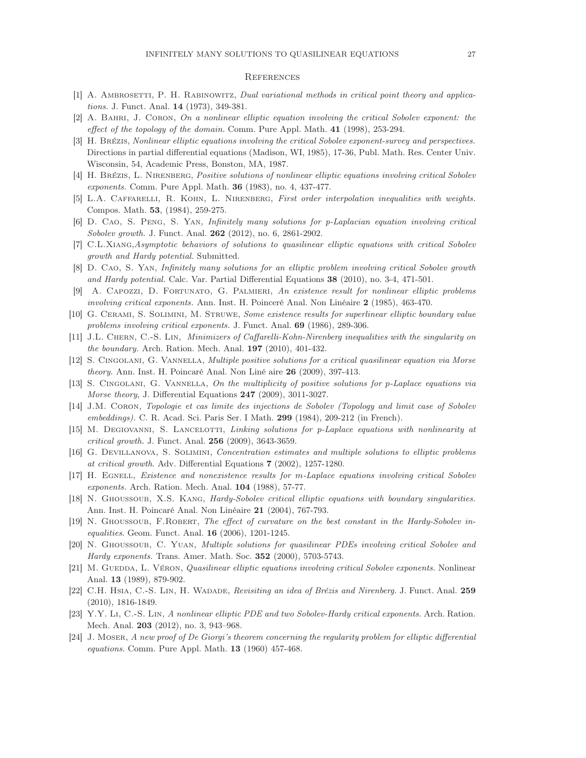#### <span id="page-26-0"></span>**REFERENCES**

- <span id="page-26-16"></span><span id="page-26-3"></span>[1] A. AMBROSETTI, P. H. RABINOWITZ, Dual variational methods in critical point theory and applications. J. Funct. Anal. 14 (1973), 349-381.
- <span id="page-26-4"></span>[2] A. Bahri, J. Coron, On a nonlinear elliptic equation involving the critical Sobolev exponent: the effect of the topology of the domain. Comm. Pure Appl. Math. 41 (1998), 253-294.
- [3] H. Brézis, Nonlinear elliptic equations involving the critical Sobolev exponent-survey and perspectives. Directions in partial differential equations (Madison, WI, 1985), 17-36, Publ. Math. Res. Center Univ. Wisconsin, 54, Academic Press, Bonston, MA, 1987.
- <span id="page-26-2"></span><span id="page-26-1"></span>[4] H. Brézis, L. Nirenberg, Positive solutions of nonlinear elliptic equations involving critical Sobolev exponents. Comm. Pure Appl. Math. 36 (1983), no. 4, 437-477.
- <span id="page-26-9"></span>[5] L.A. CAFFARELLI, R. KOHN, L. NIRENBERG, First order interpolation inequalities with weights. Compos. Math. 53, (1984), 259-275.
- <span id="page-26-24"></span>[6] D. Cao, S. Peng, S. Yan, Infinitely many solutions for p-Laplacian equation involving critical Sobolev growth. J. Funct. Anal. **262** (2012), no. 6, 2861-2902.
- <span id="page-26-17"></span>[7] C.L.Xiang,Asymptotic behaviors of solutions to quasilinear elliptic equations with critical Sobolev growth and Hardy potential. Submitted.
- [8] D. Cao, S. Yan, Infinitely many solutions for an elliptic problem involving critical Sobolev growth and Hardy potential. Calc. Var. Partial Differential Equations 38 (2010), no. 3-4, 471-501.
- <span id="page-26-6"></span><span id="page-26-5"></span>[9] A. Capozzi, D. Fortunato, G. Palmieri, An existence result for nonlinear elliptic problems involving critical exponents. Ann. Inst. H. Poinceré Anal. Non Linéaire 2 (1985), 463-470.
- <span id="page-26-18"></span>[10] G. Cerami, S. Solimini, M. Struwe, Some existence results for superlinear elliptic boundary value problems involving critical exponents. J. Funct. Anal. 69 (1986), 289-306.
- <span id="page-26-10"></span>[11] J.L. Chern, C.-S. Lin, Minimizers of Caffarelli-Kohn-Nirenberg inequalities with the singularity on *the boundary.* Arch. Ration. Mech. Anal.  $197$  (2010), 401-432.
- <span id="page-26-11"></span>[12] S. Cingolani, G. Vannella, Multiple positive solutions for a critical quasilinear equation via Morse theory. Ann. Inst. H. Poincaré Anal. Non Liné aire 26 (2009), 397-413.
- <span id="page-26-7"></span>[13] S. CINGOLANI, G. VANNELLA, On the multiplicity of positive solutions for p-Laplace equations via Morse theory, J. Differential Equations 247 (2009), 3011-3027.
- <span id="page-26-12"></span>[14] J.M. Coron, Topologie et cas limite des injections de Sobolev (Topology and limit case of Sobolev embeddings). C. R. Acad. Sci. Paris Ser. I Math. 299 (1984), 209-212 (in French).
- <span id="page-26-8"></span>[15] M. DEGIOVANNI, S. LANCELOTTI, Linking solutions for p-Laplace equations with nonlinearity at critical growth. J. Funct. Anal. 256 (2009), 3643-3659.
- <span id="page-26-13"></span>[16] G. Devillanova, S. Solimini, Concentration estimates and multiple solutions to elliptic problems at critical growth. Adv. Differential Equations 7 (2002), 1257-1280.
- [17] H. Egnell, Existence and nonexistence results for m-Laplace equations involving critical Sobolev exponents. Arch. Ration. Mech. Anal. 104 (1988), 57-77.
- <span id="page-26-19"></span>[18] N. GHOUSSOUB, X.S. KANG, Hardy-Sobolev critical elliptic equations with boundary singularities. Ann. Inst. H. Poincaré Anal. Non Linéaire 21 (2004), 767-793.
- <span id="page-26-20"></span><span id="page-26-14"></span>[19] N. GHOUSSOUB, F.ROBERT, The effect of curvature on the best constant in the Hardy-Sobolev inequalities. Geom. Funct. Anal. 16 (2006), 1201-1245.
- <span id="page-26-15"></span>[20] N. Ghoussoub, C. Yuan, Multiple solutions for quasilinear PDEs involving critical Sobolev and Hardy exponents. Trans. Amer. Math. Soc. 352 (2000), 5703-5743.
- [21] M. GUEDDA, L. VÉRON, Quasilinear elliptic equations involving critical Sobolev exponents. Nonlinear Anal. 13 (1989), 879-902.
- <span id="page-26-21"></span>[22] C.H. HSIA, C.-S. LIN, H. WADADE, Revisiting an idea of Brézis and Nirenberg. J. Funct. Anal. 259 (2010), 1816-1849.
- <span id="page-26-22"></span>[23] Y.Y. Li, C.-S. Lin, A nonlinear elliptic PDE and two Sobolev-Hardy critical exponents. Arch. Ration. Mech. Anal. 203 (2012), no. 3, 943–968.
- <span id="page-26-23"></span>[24] J. Moser, A new proof of De Giorgi's theorem concerning the regularity problem for elliptic differential equations. Comm. Pure Appl. Math. 13 (1960) 457-468.